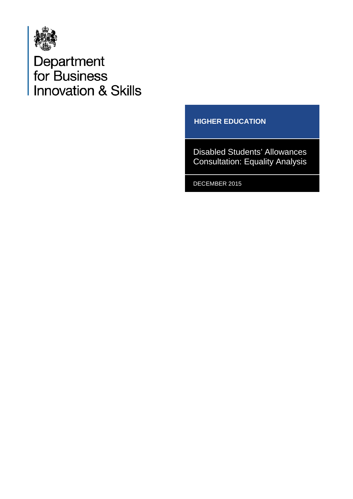

Department<br>for Business<br>Innovation & Skills

#### **HIGHER EDUCATION**

Disabled Students' Allowances Consultation: Equality Analysis

DECEMBER 2015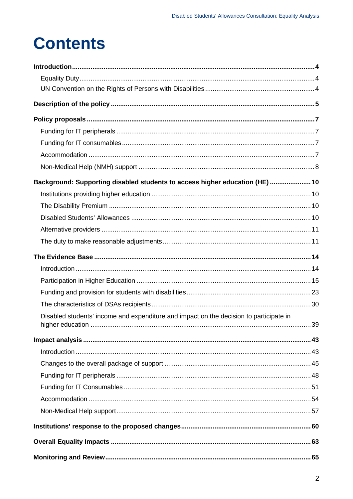## **Contents**

| Background: Supporting disabled students to access higher education (HE)  10           |  |
|----------------------------------------------------------------------------------------|--|
|                                                                                        |  |
|                                                                                        |  |
|                                                                                        |  |
|                                                                                        |  |
|                                                                                        |  |
|                                                                                        |  |
|                                                                                        |  |
|                                                                                        |  |
|                                                                                        |  |
|                                                                                        |  |
| Disabled students' income and expenditure and impact on the decision to participate in |  |
|                                                                                        |  |
|                                                                                        |  |
|                                                                                        |  |
|                                                                                        |  |
|                                                                                        |  |
|                                                                                        |  |
|                                                                                        |  |
|                                                                                        |  |
|                                                                                        |  |
|                                                                                        |  |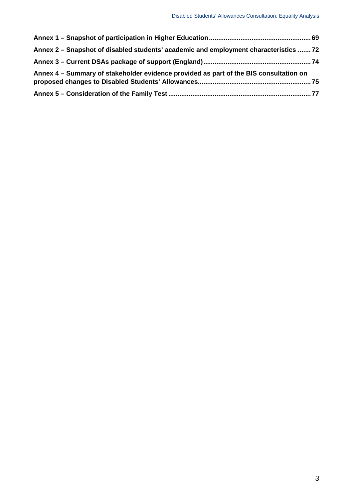| Annex 2 - Snapshot of disabled students' academic and employment characteristics 72   |  |
|---------------------------------------------------------------------------------------|--|
|                                                                                       |  |
| Annex 4 – Summary of stakeholder evidence provided as part of the BIS consultation on |  |
|                                                                                       |  |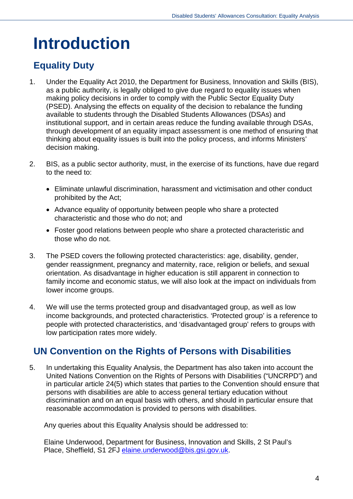## <span id="page-3-0"></span>**Introduction**

## <span id="page-3-1"></span>**Equality Duty**

- 1. Under the Equality Act 2010, the Department for Business, Innovation and Skills (BIS), as a public authority, is legally obliged to give due regard to equality issues when making policy decisions in order to comply with the Public Sector Equality Duty (PSED). Analysing the effects on equality of the decision to rebalance the funding available to students through the Disabled Students Allowances (DSAs) and institutional support, and in certain areas reduce the funding available through DSAs, through development of an equality impact assessment is one method of ensuring that thinking about equality issues is built into the policy process, and informs Ministers' decision making.
- 2. BIS, as a public sector authority, must, in the exercise of its functions, have due regard to the need to:
	- Eliminate unlawful discrimination, harassment and victimisation and other conduct prohibited by the Act;
	- Advance equality of opportunity between people who share a protected characteristic and those who do not; and
	- Foster good relations between people who share a protected characteristic and those who do not.
- 3. The PSED covers the following protected characteristics: age, disability, gender, gender reassignment, pregnancy and maternity, race, religion or beliefs, and sexual orientation. As disadvantage in higher education is still apparent in connection to family income and economic status, we will also look at the impact on individuals from lower income groups.
- 4. We will use the terms protected group and disadvantaged group, as well as low income backgrounds, and protected characteristics. 'Protected group' is a reference to people with protected characteristics, and 'disadvantaged group' refers to groups with low participation rates more widely.

## <span id="page-3-2"></span>**UN Convention on the Rights of Persons with Disabilities**

5. In undertaking this Equality Analysis, the Department has also taken into account the United Nations Convention on the Rights of Persons with Disabilities ("UNCRPD") and in particular article 24(5) which states that parties to the Convention should ensure that persons with disabilities are able to access general tertiary education without discrimination and on an equal basis with others, and should in particular ensure that reasonable accommodation is provided to persons with disabilities.

Any queries about this Equality Analysis should be addressed to:

Elaine Underwood, Department for Business, Innovation and Skills, 2 St Paul's Place, Sheffield, S1 2FJ [elaine.underwood@bis.gsi.gov.uk.](mailto:elaine.underwood@bis.gsi.gov.uk)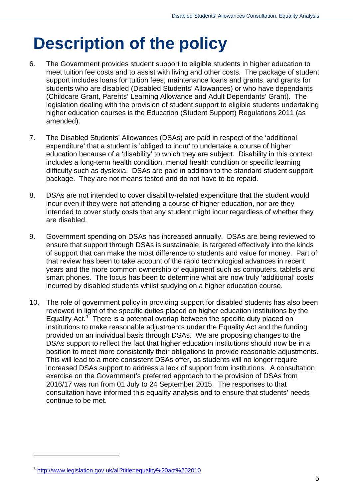# <span id="page-4-0"></span>**Description of the policy**

- 6. The Government provides student support to eligible students in higher education to meet tuition fee costs and to assist with living and other costs. The package of student support includes loans for tuition fees, maintenance loans and grants, and grants for students who are disabled (Disabled Students' Allowances) or who have dependants (Childcare Grant, Parents' Learning Allowance and Adult Dependants' Grant). The legislation dealing with the provision of student support to eligible students undertaking higher education courses is the Education (Student Support) Regulations 2011 (as amended).
- 7. The Disabled Students' Allowances (DSAs) are paid in respect of the 'additional expenditure' that a student is 'obliged to incur' to undertake a course of higher education because of a 'disability' to which they are subject. Disability in this context includes a long-term health condition, mental health condition or specific learning difficulty such as dyslexia. DSAs are paid in addition to the standard student support package. They are not means tested and do not have to be repaid.
- 8. DSAs are not intended to cover disability-related expenditure that the student would incur even if they were not attending a course of higher education, nor are they intended to cover study costs that any student might incur regardless of whether they are disabled.
- 9. Government spending on DSAs has increased annually. DSAs are being reviewed to ensure that support through DSAs is sustainable, is targeted effectively into the kinds of support that can make the most difference to students and value for money. Part of that review has been to take account of the rapid technological advances in recent years and the more common ownership of equipment such as computers, tablets and smart phones. The focus has been to determine what are now truly 'additional' costs incurred by disabled students whilst studying on a higher education course.
- 10. The role of government policy in providing support for disabled students has also been reviewed in light of the specific duties placed on higher education institutions by the Equality Act.<sup>[1](#page-4-1)</sup> There is a potential overlap between the specific duty placed on institutions to make reasonable adjustments under the Equality Act and the funding provided on an individual basis through DSAs. We are proposing changes to the DSAs support to reflect the fact that higher education institutions should now be in a position to meet more consistently their obligations to provide reasonable adjustments. This will lead to a more consistent DSAs offer, as students will no longer require increased DSAs support to address a lack of support from institutions. A consultation exercise on the Government's preferred approach to the provision of DSAs from 2016/17 was run from 01 July to 24 September 2015. The responses to that consultation have informed this equality analysis and to ensure that students' needs continue to be met.

<span id="page-4-1"></span><sup>1</sup> <http://www.legislation.gov.uk/all?title=equality%20act%202010>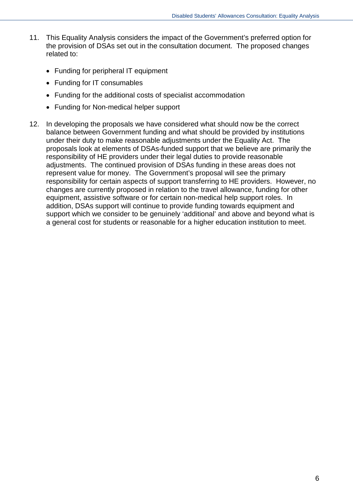- 11. This Equality Analysis considers the impact of the Government's preferred option for the provision of DSAs set out in the consultation document. The proposed changes related to:
	- Funding for peripheral IT equipment
	- Funding for IT consumables
	- Funding for the additional costs of specialist accommodation
	- Funding for Non-medical helper support
- 12. In developing the proposals we have considered what should now be the correct balance between Government funding and what should be provided by institutions under their duty to make reasonable adjustments under the Equality Act. The proposals look at elements of DSAs-funded support that we believe are primarily the responsibility of HE providers under their legal duties to provide reasonable adjustments. The continued provision of DSAs funding in these areas does not represent value for money. The Government's proposal will see the primary responsibility for certain aspects of support transferring to HE providers. However, no changes are currently proposed in relation to the travel allowance, funding for other equipment, assistive software or for certain non-medical help support roles. In addition, DSAs support will continue to provide funding towards equipment and support which we consider to be genuinely 'additional' and above and beyond what is a general cost for students or reasonable for a higher education institution to meet.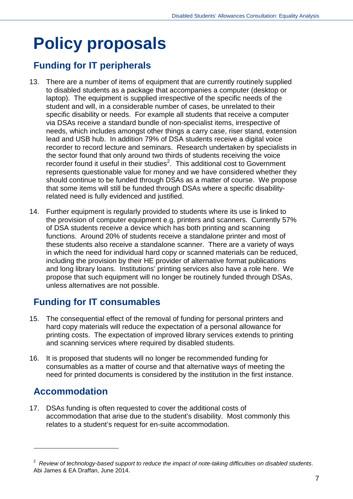# <span id="page-6-0"></span>**Policy proposals**

## <span id="page-6-1"></span>**Funding for IT peripherals**

- 13. There are a number of items of equipment that are currently routinely supplied to disabled students as a package that accompanies a computer (desktop or laptop). The equipment is supplied irrespective of the specific needs of the student and will, in a considerable number of cases, be unrelated to their specific disability or needs. For example all students that receive a computer via DSAs receive a standard bundle of non-specialist items, irrespective of needs, which includes amongst other things a carry case, riser stand, extension lead and USB hub. In addition 79% of DSA students receive a digital voice recorder to record lecture and seminars. Research undertaken by specialists in the sector found that only around two thirds of students receiving the voice recorder found it useful in their studies<sup>[2](#page-6-4)</sup>. This additional cost to Government represents questionable value for money and we have considered whether they should continue to be funded through DSAs as a matter of course. We propose that some items will still be funded through DSAs where a specific disabilityrelated need is fully evidenced and justified.
- 14. Further equipment is regularly provided to students where its use is linked to the provision of computer equipment e.g. printers and scanners. Currently 57% of DSA students receive a device which has both printing and scanning functions. Around 20% of students receive a standalone printer and most of these students also receive a standalone scanner. There are a variety of ways in which the need for individual hard copy or scanned materials can be reduced, including the provision by their HE provider of alternative format publications and long library loans. Institutions' printing services also have a role here. We propose that such equipment will no longer be routinely funded through DSAs, unless alternatives are not possible.

## <span id="page-6-2"></span>**Funding for IT consumables**

- 15. The consequential effect of the removal of funding for personal printers and hard copy materials will reduce the expectation of a personal allowance for printing costs. The expectation of improved library services extends to printing and scanning services where required by disabled students.
- 16. It is proposed that students will no longer be recommended funding for consumables as a matter of course and that alternative ways of meeting the need for printed documents is considered by the institution in the first instance.

## <span id="page-6-3"></span>**Accommodation**

-

17. DSAs funding is often requested to cover the additional costs of accommodation that arise due to the student's disability. Most commonly this relates to a student's request for en-suite accommodation.

<span id="page-6-4"></span><sup>2</sup> *Review of technology-based support to reduce the impact of note-taking difficulties on disabled students*. Abi James & EA Draffan, June 2014.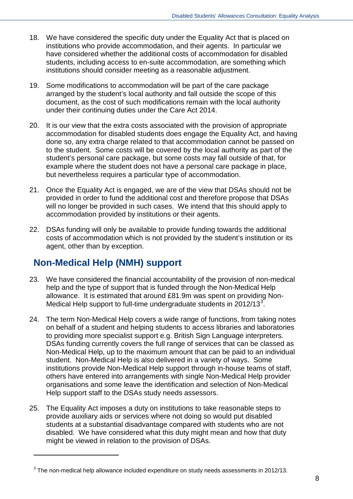- 18. We have considered the specific duty under the Equality Act that is placed on institutions who provide accommodation, and their agents. In particular we have considered whether the additional costs of accommodation for disabled students, including access to en-suite accommodation, are something which institutions should consider meeting as a reasonable adjustment.
- 19. Some modifications to accommodation will be part of the care package arranged by the student's local authority and fall outside the scope of this document, as the cost of such modifications remain with the local authority under their continuing duties under the Care Act 2014.
- 20. It is our view that the extra costs associated with the provision of appropriate accommodation for disabled students does engage the Equality Act, and having done so, any extra charge related to that accommodation cannot be passed on to the student. Some costs will be covered by the local authority as part of the student's personal care package, but some costs may fall outside of that, for example where the student does not have a personal care package in place, but nevertheless requires a particular type of accommodation.
- 21. Once the Equality Act is engaged, we are of the view that DSAs should not be provided in order to fund the additional cost and therefore propose that DSAs will no longer be provided in such cases. We intend that this should apply to accommodation provided by institutions or their agents.
- 22. DSAs funding will only be available to provide funding towards the additional costs of accommodation which is not provided by the student's institution or its agent, other than by exception.

## <span id="page-7-0"></span>**Non-Medical Help (NMH) support**

- 23. We have considered the financial accountability of the provision of non-medical help and the type of support that is funded through the Non-Medical Help allowance. It is estimated that around £81.9m was spent on providing Non-Medical Help support to full-time undergraduate students in  $2012/13<sup>3</sup>$  $2012/13<sup>3</sup>$  $2012/13<sup>3</sup>$ .
- 24. The term Non-Medical Help covers a wide range of functions, from taking notes on behalf of a student and helping students to access libraries and laboratories to providing more specialist support e.g. British Sign Language interpreters. DSAs funding currently covers the full range of services that can be classed as Non-Medical Help, up to the maximum amount that can be paid to an individual student. Non-Medical Help is also delivered in a variety of ways. Some institutions provide Non-Medical Help support through in-house teams of staff, others have entered into arrangements with single Non-Medical Help provider organisations and some leave the identification and selection of Non-Medical Help support staff to the DSAs study needs assessors.
- 25. The Equality Act imposes a duty on institutions to take reasonable steps to provide auxiliary aids or services where not doing so would put disabled students at a substantial disadvantage compared with students who are not disabled. We have considered what this duty might mean and how that duty might be viewed in relation to the provision of DSAs.

<span id="page-7-1"></span> $3$  The non-medical help allowance included expenditure on study needs assessments in 2012/13.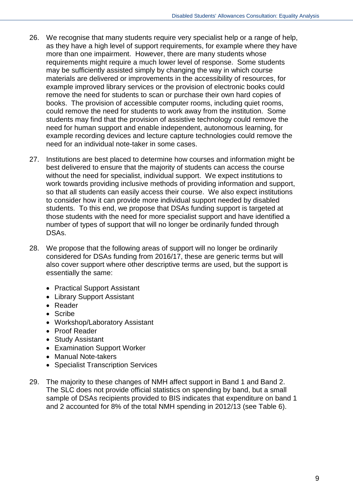- 26. We recognise that many students require very specialist help or a range of help, as they have a high level of support requirements, for example where they have more than one impairment. However, there are many students whose requirements might require a much lower level of response. Some students may be sufficiently assisted simply by changing the way in which course materials are delivered or improvements in the accessibility of resources, for example improved library services or the provision of electronic books could remove the need for students to scan or purchase their own hard copies of books. The provision of accessible computer rooms, including quiet rooms, could remove the need for students to work away from the institution. Some students may find that the provision of assistive technology could remove the need for human support and enable independent, autonomous learning, for example recording devices and lecture capture technologies could remove the need for an individual note-taker in some cases.
- 27. Institutions are best placed to determine how courses and information might be best delivered to ensure that the majority of students can access the course without the need for specialist, individual support. We expect institutions to work towards providing inclusive methods of providing information and support, so that all students can easily access their course. We also expect institutions to consider how it can provide more individual support needed by disabled students. To this end, we propose that DSAs funding support is targeted at those students with the need for more specialist support and have identified a number of types of support that will no longer be ordinarily funded through DSAs.
- 28. We propose that the following areas of support will no longer be ordinarily considered for DSAs funding from 2016/17, these are generic terms but will also cover support where other descriptive terms are used, but the support is essentially the same:
	- Practical Support Assistant
	- Library Support Assistant
	- Reader
	- Scribe
	- Workshop/Laboratory Assistant
	- Proof Reader
	- Study Assistant
	- Examination Support Worker
	- Manual Note-takers
	- Specialist Transcription Services
- 29. The majority to these changes of NMH affect support in Band 1 and Band 2. The SLC does not provide official statistics on spending by band, but a small sample of DSAs recipients provided to BIS indicates that expenditure on band 1 and 2 accounted for 8% of the total NMH spending in 2012/13 (see Table 6).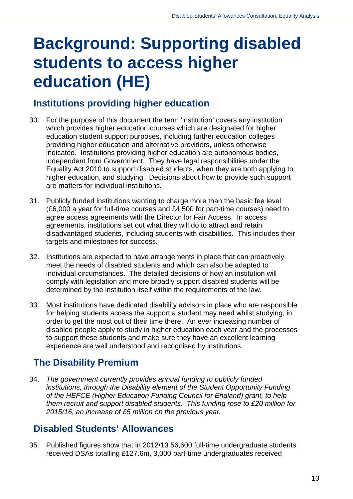# <span id="page-9-0"></span>**Background: Supporting disabled students to access higher education (HE)**

## <span id="page-9-1"></span>**Institutions providing higher education**

- 30. For the purpose of this document the term 'institution' covers any institution which provides higher education courses which are designated for higher education student support purposes, including further education colleges providing higher education and alternative providers, unless otherwise indicated. Institutions providing higher education are autonomous bodies, independent from Government. They have legal responsibilities under the Equality Act 2010 to support disabled students, when they are both applying to higher education, and studying. Decisions about how to provide such support are matters for individual institutions.
- 31. Publicly funded institutions wanting to charge more than the basic fee level (£6,000 a year for full-time courses and £4,500 for part-time courses) need to agree access agreements with the Director for Fair Access. In access agreements, institutions set out what they will do to attract and retain disadvantaged students, including students with disabilities. This includes their targets and milestones for success.
- 32. Institutions are expected to have arrangements in place that can proactively meet the needs of disabled students and which can also be adapted to individual circumstances. The detailed decisions of how an institution will comply with legislation and more broadly support disabled students will be determined by the institution itself within the requirements of the law.
- 33. Most institutions have dedicated disability advisors in place who are responsible for helping students access the support a student may need whilst studying, in order to get the most out of their time there. An ever increasing number of disabled people apply to study in higher education each year and the processes to support these students and make sure they have an excellent learning experience are well understood and recognised by institutions.

## <span id="page-9-2"></span>**The Disability Premium**

34. *The government currently provides annual funding to publicly funded institutions, through the Disability element of the Student Opportunity Funding of the HEFCE (Higher Education Funding Council for England) grant, to help them recruit and support disabled students. This funding rose to £20 million for 2015/16, an increase of £5 million on the previous year.*

## <span id="page-9-3"></span>**Disabled Students' Allowances**

35. Published figures show that in 2012/13 56,600 full-time undergraduate students received DSAs totalling £127.6m, 3,000 part-time undergraduates received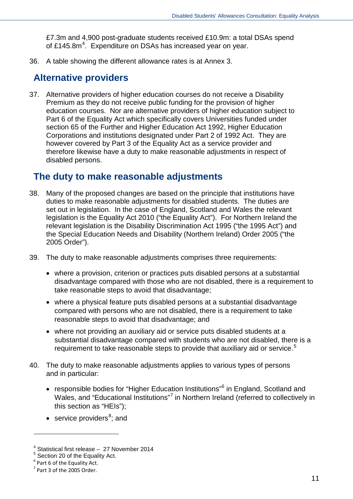£7.3m and 4,900 post-graduate students received £10.9m: a total DSAs spend of £1[4](#page-10-2)5.8m<sup>4</sup>. Expenditure on DSAs has increased year on year.

36. A table showing the different allowance rates is at Annex 3.

### <span id="page-10-0"></span>**Alternative providers**

37. Alternative providers of higher education courses do not receive a Disability Premium as they do not receive public funding for the provision of higher education courses. Nor are alternative providers of higher education subject to Part 6 of the Equality Act which specifically covers Universities funded under section 65 of the Further and Higher Education Act 1992, Higher Education Corporations and institutions designated under Part 2 of 1992 Act. They are however covered by Part 3 of the Equality Act as a service provider and therefore likewise have a duty to make reasonable adjustments in respect of disabled persons.

### <span id="page-10-1"></span>**The duty to make reasonable adjustments**

- 38. Many of the proposed changes are based on the principle that institutions have duties to make reasonable adjustments for disabled students. The duties are set out in legislation. In the case of England, Scotland and Wales the relevant legislation is the Equality Act 2010 ("the Equality Act"). For Northern Ireland the relevant legislation is the Disability Discrimination Act 1995 ("the 1995 Act") and the Special Education Needs and Disability (Northern Ireland) Order 2005 ("the 2005 Order").
- 39. The duty to make reasonable adjustments comprises three requirements:
	- where a provision, criterion or practices puts disabled persons at a substantial disadvantage compared with those who are not disabled, there is a requirement to take reasonable steps to avoid that disadvantage;
	- where a physical feature puts disabled persons at a substantial disadvantage compared with persons who are not disabled, there is a requirement to take reasonable steps to avoid that disadvantage; and
	- where not providing an auxiliary aid or service puts disabled students at a substantial disadvantage compared with students who are not disabled, there is a requirement to take reasonable steps to provide that auxiliary aid or service.<sup>[5](#page-10-3)</sup>
- 40. The duty to make reasonable adjustments applies to various types of persons and in particular:
	- responsible bodies for "Higher Education Institutions"<sup>[6](#page-10-4)</sup> in England, Scotland and Wales, and "Educational Institutions"<sup>[7](#page-10-5)</sup> in Northern Ireland (referred to collectively in this section as "HEIs");
	- service providers $8$ ; and

<span id="page-10-6"></span><u>.</u>

<span id="page-10-2"></span> $4$  Statistical first release – 27 November 2014

<span id="page-10-3"></span><sup>5</sup> Section 20 of the Equality Act.

<span id="page-10-4"></span> $6$  Part 6 of the Equality Act.

<span id="page-10-5"></span><sup>7</sup> Part 3 of the 2005 Order.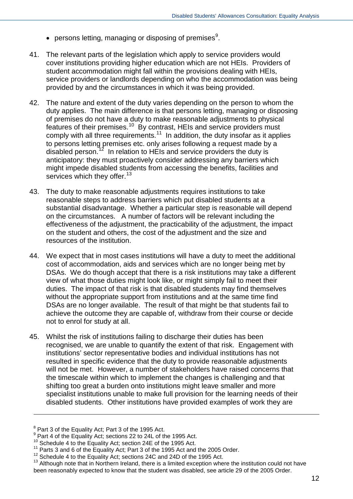- $\bullet$  persons letting, managing or disposing of premises<sup>[9](#page-11-0)</sup>.
- 41. The relevant parts of the legislation which apply to service providers would cover institutions providing higher education which are not HEIs. Providers of student accommodation might fall within the provisions dealing with HEIs, service providers or landlords depending on who the accommodation was being provided by and the circumstances in which it was being provided.
- 42. The nature and extent of the duty varies depending on the person to whom the duty applies. The main difference is that persons letting, managing or disposing of premises do not have a duty to make reasonable adjustments to physical features of their premises.[10](#page-11-1) By contrast, HEIs and service providers must comply with all three requirements.<sup>11</sup> In addition, the duty insofar as it applies to persons letting premises etc. only arises following a request made by a disabled person.<sup>[12](#page-11-3)</sup> In relation to HEIs and service providers the duty is anticipatory: they must proactively consider addressing any barriers which might impede disabled students from accessing the benefits, facilities and services which they offer.<sup>[13](#page-11-4)</sup>
- 43. The duty to make reasonable adjustments requires institutions to take reasonable steps to address barriers which put disabled students at a substantial disadvantage. Whether a particular step is reasonable will depend on the circumstances. A number of factors will be relevant including the effectiveness of the adjustment, the practicability of the adjustment, the impact on the student and others, the cost of the adjustment and the size and resources of the institution.
- 44. We expect that in most cases institutions will have a duty to meet the additional cost of accommodation, aids and services which are no longer being met by DSAs. We do though accept that there is a risk institutions may take a different view of what those duties might look like, or might simply fail to meet their duties. The impact of that risk is that disabled students may find themselves without the appropriate support from institutions and at the same time find DSAs are no longer available. The result of that might be that students fail to achieve the outcome they are capable of, withdraw from their course or decide not to enrol for study at all.
- 45. Whilst the risk of institutions failing to discharge their duties has been recognised, we are unable to quantify the extent of that risk. Engagement with institutions' sector representative bodies and individual institutions has not resulted in specific evidence that the duty to provide reasonable adjustments will not be met. However, a number of stakeholders have raised concerns that the timescale within which to implement the changes is challenging and that shifting too great a burden onto institutions might leave smaller and more specialist institutions unable to make full provision for the learning needs of their disabled students. Other institutions have provided examples of work they are

<sup>&</sup>lt;sup>8</sup> Part 3 of the Equality Act; Part 3 of the 1995 Act.

<span id="page-11-0"></span> $9$  Part 4 of the Equality Act; sections 22 to 24L of the 1995 Act.<br><sup>10</sup> Schedule 4 to the Equality Act; section 24E of the 1995 Act.

<span id="page-11-3"></span><span id="page-11-2"></span>

<span id="page-11-4"></span>

<span id="page-11-1"></span><sup>&</sup>lt;sup>11</sup> Parts 3 and 6 of the Equality Act; Part 3 of the 1995 Act and the 2005 Order.<br><sup>12</sup> Schedule 4 to the Equality Act; sections 24C and 24D of the 1995 Act.<br><sup>13</sup> Although note that in Northern Ireland, there is a limited been reasonably expected to know that the student was disabled, see article 29 of the 2005 Order.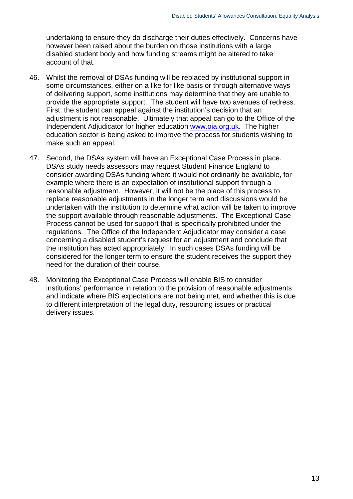undertaking to ensure they do discharge their duties effectively. Concerns have however been raised about the burden on those institutions with a large disabled student body and how funding streams might be altered to take account of that.

- 46. Whilst the removal of DSAs funding will be replaced by institutional support in some circumstances, either on a like for like basis or through alternative ways of delivering support, some institutions may determine that they are unable to provide the appropriate support. The student will have two avenues of redress. First, the student can appeal against the institution's decision that an adjustment is not reasonable. Ultimately that appeal can go to the Office of the Independent Adjudicator for higher education [www.oia.org.uk.](http://www.oia.org.uk/) The higher education sector is being asked to improve the process for students wishing to make such an appeal.
- 47. Second, the DSAs system will have an Exceptional Case Process in place. DSAs study needs assessors may request Student Finance England to consider awarding DSAs funding where it would not ordinarily be available, for example where there is an expectation of institutional support through a reasonable adjustment. However, it will not be the place of this process to replace reasonable adjustments in the longer term and discussions would be undertaken with the institution to determine what action will be taken to improve the support available through reasonable adjustments. The Exceptional Case Process cannot be used for support that is specifically prohibited under the regulations. The Office of the Independent Adjudicator may consider a case concerning a disabled student's request for an adjustment and conclude that the institution has acted appropriately. In such cases DSAs funding will be considered for the longer term to ensure the student receives the support they need for the duration of their course.
- 48. Monitoring the Exceptional Case Process will enable BIS to consider institutions' performance in relation to the provision of reasonable adjustments and indicate where BIS expectations are not being met, and whether this is due to different interpretation of the legal duty, resourcing issues or practical delivery issues.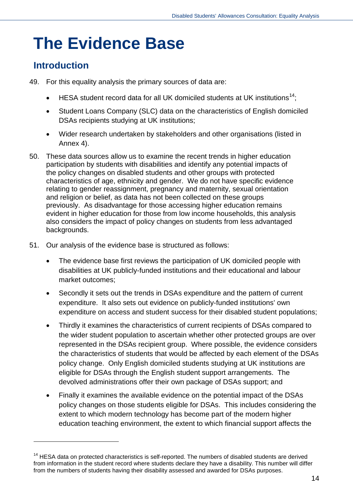## <span id="page-13-0"></span>**The Evidence Base**

### <span id="page-13-1"></span>**Introduction**

- 49. For this equality analysis the primary sources of data are:
	- HESA student record data for all UK domiciled students at UK institutions<sup>14</sup>:
	- Student Loans Company (SLC) data on the characteristics of English domiciled DSAs recipients studying at UK institutions;
	- Wider research undertaken by stakeholders and other organisations (listed in Annex 4).
- 50. These data sources allow us to examine the recent trends in higher education participation by students with disabilities and identify any potential impacts of the policy changes on disabled students and other groups with protected characteristics of age, ethnicity and gender. We do not have specific evidence relating to gender reassignment, pregnancy and maternity, sexual orientation and religion or belief, as data has not been collected on these groups previously. As disadvantage for those accessing higher education remains evident in higher education for those from low income households, this analysis also considers the impact of policy changes on students from less advantaged backgrounds.
- 51. Our analysis of the evidence base is structured as follows:
	- The evidence base first reviews the participation of UK domiciled people with disabilities at UK publicly-funded institutions and their educational and labour market outcomes;
	- Secondly it sets out the trends in DSAs expenditure and the pattern of current expenditure. It also sets out evidence on publicly-funded institutions' own expenditure on access and student success for their disabled student populations;
	- Thirdly it examines the characteristics of current recipients of DSAs compared to the wider student population to ascertain whether other protected groups are over represented in the DSAs recipient group. Where possible, the evidence considers the characteristics of students that would be affected by each element of the DSAs policy change. Only English domiciled students studying at UK institutions are eligible for DSAs through the English student support arrangements. The devolved administrations offer their own package of DSAs support; and
	- Finally it examines the available evidence on the potential impact of the DSAs policy changes on those students eligible for DSAs. This includes considering the extent to which modern technology has become part of the modern higher education teaching environment, the extent to which financial support affects the

<span id="page-13-2"></span><sup>&</sup>lt;sup>14</sup> HESA data on protected characteristics is self-reported. The numbers of disabled students are derived from information in the student record where students declare they have a disability. This number will differ from the numbers of students having their disability assessed and awarded for DSAs purposes.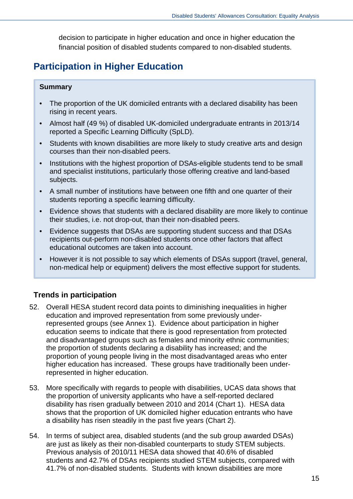decision to participate in higher education and once in higher education the financial position of disabled students compared to non-disabled students.

## <span id="page-14-0"></span>**Participation in Higher Education**

#### **Summary**

- The proportion of the UK domiciled entrants with a declared disability has been rising in recent years.
- Almost half (49 %) of disabled UK-domiciled undergraduate entrants in 2013/14 reported a Specific Learning Difficulty (SpLD).
- Students with known disabilities are more likely to study creative arts and design courses than their non-disabled peers.
- Institutions with the highest proportion of DSAs-eligible students tend to be small and specialist institutions, particularly those offering creative and land-based subjects.
- A small number of institutions have between one fifth and one quarter of their students reporting a specific learning difficulty.
- Evidence shows that students with a declared disability are more likely to continue their studies, i.e. not drop-out, than their non-disabled peers.
- Evidence suggests that DSAs are supporting student success and that DSAs recipients out-perform non-disabled students once other factors that affect educational outcomes are taken into account.
- However it is not possible to say which elements of DSAs support (travel, general, non-medical help or equipment) delivers the most effective support for students.

#### **Trends in participation**

- 52. Overall HESA student record data points to diminishing inequalities in higher education and improved representation from some previously underrepresented groups (see Annex 1). Evidence about participation in higher education seems to indicate that there is good representation from protected and disadvantaged groups such as females and minority ethnic communities; the proportion of students declaring a disability has increased; and the proportion of young people living in the most disadvantaged areas who enter higher education has increased. These groups have traditionally been underrepresented in higher education.
- 53. More specifically with regards to people with disabilities, UCAS data shows that the proportion of university applicants who have a self-reported declared disability has risen gradually between 2010 and 2014 (Chart 1). HESA data shows that the proportion of UK domiciled higher education entrants who have a disability has risen steadily in the past five years (Chart 2).
- 54. In terms of subject area, disabled students (and the sub group awarded DSAs) are just as likely as their non-disabled counterparts to study STEM subjects. Previous analysis of 2010/11 HESA data showed that 40.6% of disabled students and 42.7% of DSAs recipients studied STEM subjects, compared with 41.7% of non-disabled students. Students with known disabilities are more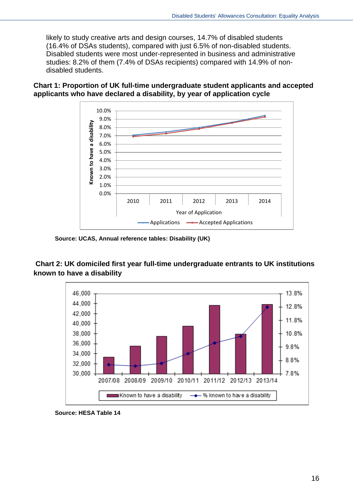likely to study creative arts and design courses, 14.7% of disabled students (16.4% of DSAs students), compared with just 6.5% of non-disabled students. Disabled students were most under-represented in business and administrative studies: 8.2% of them (7.4% of DSAs recipients) compared with 14.9% of nondisabled students.

#### **Chart 1: Proportion of UK full-time undergraduate student applicants and accepted applicants who have declared a disability, by year of application cycle**



**Source: UCAS, Annual reference tables: Disability (UK)**

#### **Chart 2: UK domiciled first year full-time undergraduate entrants to UK institutions known to have a disability**



**Source: HESA Table 14**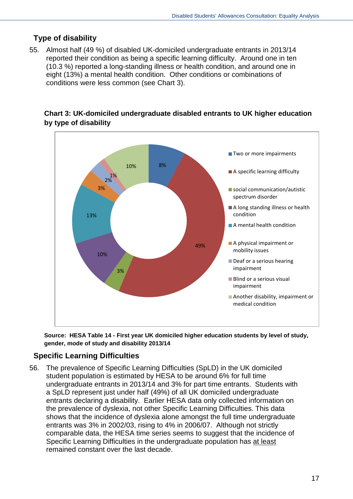#### **Type of disability**

55. Almost half (49 %) of disabled UK-domiciled undergraduate entrants in 2013/14 reported their condition as being a specific learning difficulty. Around one in ten (10.3 %) reported a long-standing illness or health condition, and around one in eight (13%) a mental health condition. Other conditions or combinations of conditions were less common (see Chart 3).



**Chart 3: UK-domiciled undergraduate disabled entrants to UK higher education by type of disability**

**Source: HESA Table 14 - First year UK domiciled higher education students by level of study, gender, mode of study and disability 2013/14** 

#### **Specific Learning Difficulties**

56. The prevalence of Specific Learning Difficulties (SpLD) in the UK domiciled student population is estimated by HESA to be around 6% for full time undergraduate entrants in 2013/14 and 3% for part time entrants. Students with a SpLD represent just under half (49%) of all UK domiciled undergraduate entrants declaring a disability. Earlier HESA data only collected information on the prevalence of dyslexia, not other Specific Learning Difficulties. This data shows that the incidence of dyslexia alone amongst the full time undergraduate entrants was 3% in 2002/03, rising to 4% in 2006/07. Although not strictly comparable data, the HESA time series seems to suggest that the incidence of Specific Learning Difficulties in the undergraduate population has at least remained constant over the last decade.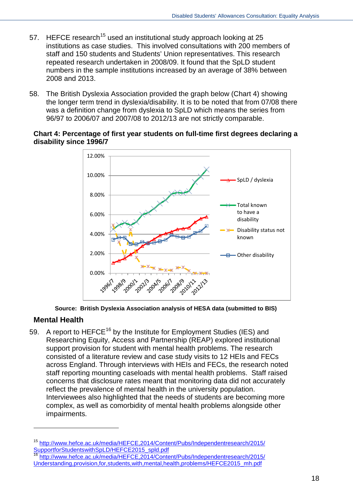- 57. HEFCE research<sup>[15](#page-17-0)</sup> used an institutional study approach looking at 25 institutions as case studies. This involved consultations with 200 members of staff and 150 students and Students' Union representatives. This research repeated research undertaken in 2008/09. It found that the SpLD student numbers in the sample institutions increased by an average of 38% between 2008 and 2013.
- 58. The British Dyslexia Association provided the graph below (Chart 4) showing the longer term trend in dyslexia/disability. It is to be noted that from 07/08 there was a definition change from dyslexia to SpLD which means the series from 96/97 to 2006/07 and 2007/08 to 2012/13 are not strictly comparable.

#### **Chart 4: Percentage of first year students on full-time first degrees declaring a disability since 1996/7**





#### **Mental Health**

-

59. A report to HEFCE<sup>[16](#page-17-1)</sup> by the Institute for Employment Studies (IES) and Researching Equity, Access and Partnership (REAP) explored institutional support provision for student with mental health problems. The research consisted of a literature review and case study visits to 12 HEIs and FECs across England. Through interviews with HEIs and FECs, the research noted staff reporting mounting caseloads with mental health problems. Staff raised concerns that disclosure rates meant that monitoring data did not accurately reflect the prevalence of mental health in the university population. Interviewees also highlighted that the needs of students are becoming more complex, as well as comorbidity of mental health problems alongside other impairments.

<span id="page-17-0"></span>[http://www.hefce.ac.uk/media/HEFCE,2014/Content/Pubs/Independentresearch/2015/](http://www.hefce.ac.uk/media/HEFCE,2014/Content/Pubs/Independentresearch/2015/SupportforStudentswithSpLD/HEFCE2015_spld.pdf) [SupportforStudentswithSpLD/HEFCE2015\\_spld.pdf](http://www.hefce.ac.uk/media/HEFCE,2014/Content/Pubs/Independentresearch/2015/SupportforStudentswithSpLD/HEFCE2015_spld.pdf)

<span id="page-17-1"></span>[http://www.hefce.ac.uk/media/HEFCE,2014/Content/Pubs/Independentresearch/2015/](http://www.hefce.ac.uk/media/HEFCE,2014/Content/Pubs/Independentresearch/2015/Understanding,provision,for,students,with,mental,health,problems/HEFCE2015_mh.pdf) [Understanding,provision,for,students,with,mental,health,problems/HEFCE2015\\_mh.pdf](http://www.hefce.ac.uk/media/HEFCE,2014/Content/Pubs/Independentresearch/2015/Understanding,provision,for,students,with,mental,health,problems/HEFCE2015_mh.pdf)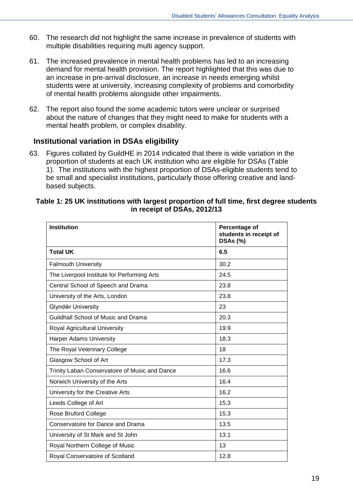- 60. The research did not highlight the same increase in prevalence of students with multiple disabilities requiring multi agency support.
- 61. The increased prevalence in mental health problems has led to an increasing demand for mental health provision. The report highlighted that this was due to an increase in pre-arrival disclosure, an increase in needs emerging whilst students were at university, increasing complexity of problems and comorbidity of mental health problems alongside other impairments.
- 62. The report also found the some academic tutors were unclear or surprised about the nature of changes that they might need to make for students with a mental health problem, or complex disability.

#### **Institutional variation in DSAs eligibility**

63. Figures collated by GuildHE in 2014 indicated that there is wide variation in the proportion of students at each UK institution who are eligible for DSAs (Table 1). The institutions with the highest proportion of DSAs-eligible students tend to be small and specialist institutions, particularly those offering creative and landbased subjects.

#### **Table 1: 25 UK institutions with largest proportion of full time, first degree students in receipt of DSAs, 2012/13**

| <b>Institution</b>                             | Percentage of<br>students in receipt of<br><b>DSAs (%)</b> |
|------------------------------------------------|------------------------------------------------------------|
| <b>Total UK</b>                                | 6.5                                                        |
| <b>Falmouth University</b>                     | 30.2                                                       |
| The Liverpool Institute for Performing Arts    | 24.5                                                       |
| Central School of Speech and Drama             | 23.8                                                       |
| University of the Arts, London                 | 23.8                                                       |
| Glyndŵr University                             | 23                                                         |
| Guildhall School of Music and Drama            | 20.3                                                       |
| Royal Agricultural University                  | 19.9                                                       |
| <b>Harper Adams University</b>                 | 18.3                                                       |
| The Royal Veterinary College                   | 18                                                         |
| Glasgow School of Art                          | 17.3                                                       |
| Trinity Laban Conservatoire of Music and Dance | 16.6                                                       |
| Norwich University of the Arts                 | 16.4                                                       |
| University for the Creative Arts               | 16.2                                                       |
| Leeds College of Art                           | 15.3                                                       |
| Rose Bruford College                           | 15.3                                                       |
| Conservatoire for Dance and Drama              | 13.5                                                       |
| University of St Mark and St John              | 13.1                                                       |
| Royal Northern College of Music                | 13                                                         |
| Royal Conservatoire of Scotland                | 12.8                                                       |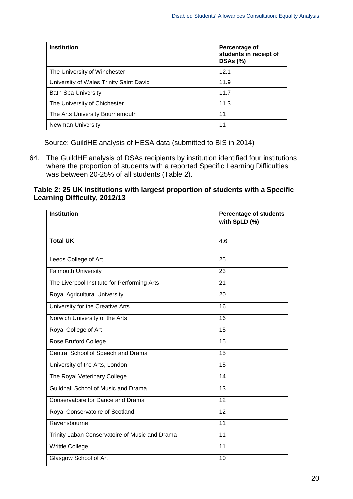| <b>Institution</b>                      | Percentage of<br>students in receipt of<br><b>DSAs (%)</b> |
|-----------------------------------------|------------------------------------------------------------|
| The University of Winchester            | 12.1                                                       |
| University of Wales Trinity Saint David | 11.9                                                       |
| <b>Bath Spa University</b>              | 11.7                                                       |
| The University of Chichester            | 11.3                                                       |
| The Arts University Bournemouth         | 11                                                         |
| <b>Newman University</b>                | 11                                                         |

Source: GuildHE analysis of HESA data (submitted to BIS in 2014)

64. The GuildHE analysis of DSAs recipients by institution identified four institutions where the proportion of students with a reported Specific Learning Difficulties was between 20-25% of all students (Table 2).

#### **Table 2: 25 UK institutions with largest proportion of students with a Specific Learning Difficulty, 2012/13**

| <b>Institution</b>                             | <b>Percentage of students</b><br>with SpLD (%) |
|------------------------------------------------|------------------------------------------------|
|                                                |                                                |
| <b>Total UK</b>                                | 4.6                                            |
| Leeds College of Art                           | 25                                             |
| <b>Falmouth University</b>                     | 23                                             |
| The Liverpool Institute for Performing Arts    | 21                                             |
| Royal Agricultural University                  | 20                                             |
| University for the Creative Arts               | 16                                             |
| Norwich University of the Arts                 | 16                                             |
| Royal College of Art                           | 15                                             |
| Rose Bruford College                           | 15                                             |
| Central School of Speech and Drama             | 15                                             |
| University of the Arts, London                 | 15                                             |
| The Royal Veterinary College                   | 14                                             |
| Guildhall School of Music and Drama            | 13                                             |
| Conservatoire for Dance and Drama              | 12                                             |
| Royal Conservatoire of Scotland                | 12                                             |
| Ravensbourne                                   | $\overline{11}$                                |
| Trinity Laban Conservatoire of Music and Drama | 11                                             |
| Writtle College                                | 11                                             |
| Glasgow School of Art                          | 10                                             |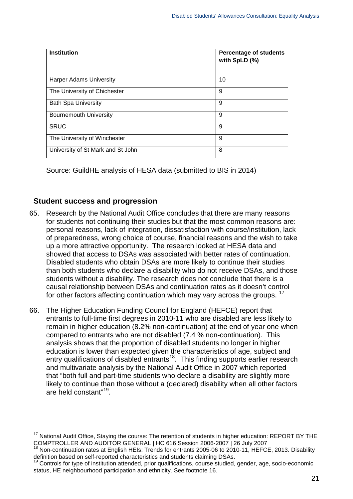| <b>Institution</b>                | <b>Percentage of students</b><br>with SpLD (%) |
|-----------------------------------|------------------------------------------------|
| <b>Harper Adams University</b>    | 10                                             |
| The University of Chichester      | 9                                              |
| <b>Bath Spa University</b>        | 9                                              |
| <b>Bournemouth University</b>     | 9                                              |
| <b>SRUC</b>                       | 9                                              |
| The University of Winchester      | 9                                              |
| University of St Mark and St John | 8                                              |

Source: GuildHE analysis of HESA data (submitted to BIS in 2014)

#### **Student success and progression**

- 65. Research by the National Audit Office concludes that there are many reasons for students not continuing their studies but that the most common reasons are: personal reasons, lack of integration, dissatisfaction with course/institution, lack of preparedness, wrong choice of course, financial reasons and the wish to take up a more attractive opportunity. The research looked at HESA data and showed that access to DSAs was associated with better rates of continuation. Disabled students who obtain DSAs are more likely to continue their studies than both students who declare a disability who do not receive DSAs, and those students without a disability. The research does not conclude that there is a causal relationship between DSAs and continuation rates as it doesn't control for other factors affecting continuation which may vary across the groups. <sup>17</sup>
- 66. The Higher Education Funding Council for England (HEFCE) report that entrants to full-time first degrees in 2010-11 who are disabled are less likely to remain in higher education (8.2% non-continuation) at the end of year one when compared to entrants who are not disabled (7.4 % non-continuation). This analysis shows that the proportion of disabled students no longer in higher education is lower than expected given the characteristics of age, subject and entry qualifications of disabled entrants<sup>18</sup>. This finding supports earlier research and multivariate analysis by the National Audit Office in 2007 which reported that "both full and part-time students who declare a disability are slightly more likely to continue than those without a (declared) disability when all other factors are held constant"[19](#page-20-2).

<sup>&</sup>lt;sup>17</sup> National Audit Office, Staying the course: The retention of students in higher education: REPORT BY THE

<span id="page-20-1"></span><span id="page-20-0"></span>COMPTROLLER AND AUDITOR GENERAL | HC 616 Session 2006-2007 | 26 July 2007<br><sup>18</sup> Non-continuation rates at English HEIs: Trends for entrants 2005-06 to 2010-11, HEFCE, 2013. Disability<br>definition based on self-reported chara

<span id="page-20-2"></span>Controls for type of institution attended, prior qualifications, course studied, gender, age, socio-economic status, HE neighbourhood participation and ethnicity. See footnote 16.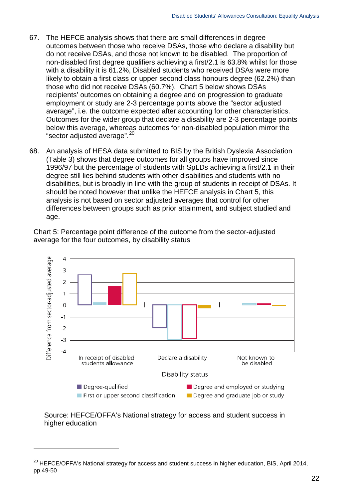- 67. The HEFCE analysis shows that there are small differences in degree outcomes between those who receive DSAs, those who declare a disability but do not receive DSAs, and those not known to be disabled. The proportion of non-disabled first degree qualifiers achieving a first/2.1 is 63.8% whilst for those with a disability it is 61.2%, Disabled students who received DSAs were more likely to obtain a first class or upper second class honours degree (62.2%) than those who did not receive DSAs (60.7%). Chart 5 below shows DSAs recipients' outcomes on obtaining a degree and on progression to graduate employment or study are 2-3 percentage points above the "sector adjusted average", i.e. the outcome expected after accounting for other characteristics. Outcomes for the wider group that declare a disability are 2-3 percentage points below this average, whereas outcomes for non-disabled population mirror the "sector adjusted average". [20](#page-21-0)
- 68. An analysis of HESA data submitted to BIS by the British Dyslexia Association (Table 3) shows that degree outcomes for all groups have improved since 1996/97 but the percentage of students with SpLDs achieving a first/2.1 in their degree still lies behind students with other disabilities and students with no disabilities, but is broadly in line with the group of students in receipt of DSAs. It should be noted however that unlike the HEFCE analysis in Chart 5, this analysis is not based on sector adjusted averages that control for other differences between groups such as prior attainment, and subject studied and age.

Chart 5: Percentage point difference of the outcome from the sector-adjusted average for the four outcomes, by disability status



Source: HEFCE/OFFA's National strategy for access and student success in higher education

<span id="page-21-0"></span><sup>&</sup>lt;sup>20</sup> HEFCE/OFFA's National strategy for access and student success in higher education, BIS, April 2014, pp.49-50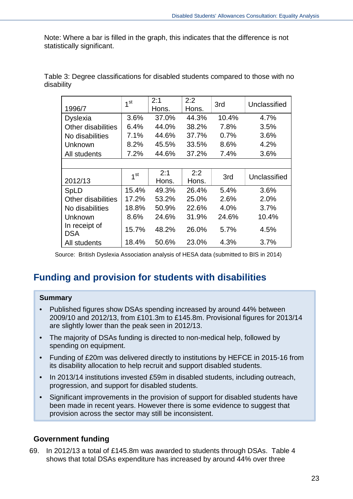Note: Where a bar is filled in the graph, this indicates that the difference is not statistically significant.

|                             | 1 <sup>st</sup> | 2:1   | 2:2   | 3rd   | Unclassified |
|-----------------------------|-----------------|-------|-------|-------|--------------|
| 1996/7                      |                 | Hons. | Hons. |       |              |
| <b>Dyslexia</b>             | 3.6%            | 37.0% | 44.3% | 10.4% | 4.7%         |
| <b>Other disabilities</b>   | 6.4%            | 44.0% | 38.2% | 7.8%  | 3.5%         |
| No disabilities             | 7.1%            | 44.6% | 37.7% | 0.7%  | 3.6%         |
| Unknown                     | 8.2%            | 45.5% | 33.5% | 8.6%  | 4.2%         |
| All students                | 7.2%            | 44.6% | 37.2% | 7.4%  | 3.6%         |
|                             |                 |       |       |       |              |
|                             | 1 <sup>st</sup> | 2:1   | 2:2   | 3rd   | Unclassified |
| 2012/13                     |                 | Hons. | Hons. |       |              |
| SpLD                        | 15.4%           | 49.3% | 26.4% | 5.4%  | 3.6%         |
| Other disabilities          | 17.2%           | 53.2% | 25.0% | 2.6%  | 2.0%         |
| No disabilities             | 18.8%           | 50.9% | 22.6% | 4.0%  | 3.7%         |
| Unknown                     | 8.6%            | 24.6% | 31.9% | 24.6% | 10.4%        |
| In receipt of<br><b>DSA</b> | 15.7%           | 48.2% | 26.0% | 5.7%  | 4.5%         |
| All students                | 18.4%           | 50.6% | 23.0% | 4.3%  | 3.7%         |

Table 3: Degree classifications for disabled students compared to those with no disability

Source: British Dyslexia Association analysis of HESA data (submitted to BIS in 2014)

## <span id="page-22-0"></span>**Funding and provision for students with disabilities**

#### **Summary**

- Published figures show DSAs spending increased by around 44% between 2009/10 and 2012/13, from £101.3m to £145.8m. Provisional figures for 2013/14 are slightly lower than the peak seen in 2012/13.
- The majority of DSAs funding is directed to non-medical help, followed by spending on equipment.
- Funding of £20m was delivered directly to institutions by HEFCE in 2015-16 from its disability allocation to help recruit and support disabled students.
- In 2013/14 institutions invested £59m in disabled students, including outreach, progression, and support for disabled students.
- Significant improvements in the provision of support for disabled students have been made in recent years. However there is some evidence to suggest that provision across the sector may still be inconsistent.

#### **Government funding**

69. In 2012/13 a total of £145.8m was awarded to students through DSAs. Table 4 shows that total DSAs expenditure has increased by around 44% over three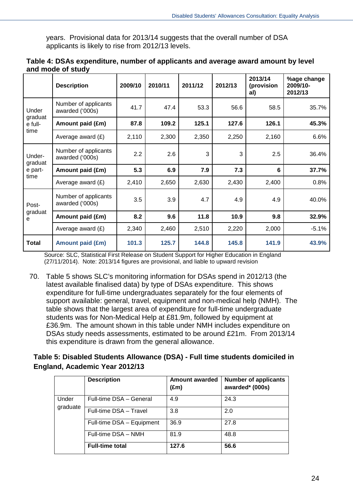years. Provisional data for 2013/14 suggests that the overall number of DSA applicants is likely to rise from 2012/13 levels.

|                              | <b>Description</b>                      | 2009/10 | 2010/11 | 2011/12 | 2012/13 | 2013/14<br>(provision<br>al) | %age change<br>2009/10-<br>2012/13 |
|------------------------------|-----------------------------------------|---------|---------|---------|---------|------------------------------|------------------------------------|
| Under                        | Number of applicants<br>awarded ('000s) | 41.7    | 47.4    | 53.3    | 56.6    | 58.5                         | 35.7%                              |
| graduat<br>e full-           | Amount paid (£m)                        | 87.8    | 109.2   | 125.1   | 127.6   | 126.1                        | 45.3%                              |
| time                         | Average award $(E)$                     | 2,110   | 2,300   | 2,350   | 2,250   | 2,160                        | 6.6%                               |
| Under-<br>graduat<br>e part- | Number of applicants<br>awarded ('000s) | 2.2     | 2.6     | 3       | 3       | 2.5                          | 36.4%                              |
|                              | Amount paid (£m)                        | 5.3     | 6.9     | 7.9     | 7.3     | 6                            | 37.7%                              |
| time                         | Average award (£)                       | 2,410   | 2,650   | 2,630   | 2,430   | 2,400                        | 0.8%                               |
| Post-                        | Number of applicants<br>awarded ('000s) | 3.5     | 3.9     | 4.7     | 4.9     | 4.9                          | 40.0%                              |
| graduat<br>е                 | Amount paid (£m)                        | 8.2     | 9.6     | 11.8    | 10.9    | 9.8                          | 32.9%                              |
|                              | Average award $(E)$                     | 2,340   | 2,460   | 2,510   | 2,220   | 2,000                        | $-5.1%$                            |
| Total                        | <b>Amount paid (£m)</b>                 | 101.3   | 125.7   | 144.8   | 145.8   | 141.9                        | 43.9%                              |

| Table 4: DSAs expenditure, number of applicants and average award amount by level |  |  |  |
|-----------------------------------------------------------------------------------|--|--|--|
| and mode of study                                                                 |  |  |  |

Source: SLC, Statistical First Release on Student Support for Higher Education in England (27/11/2014). Note: 2013/14 figures are provisional, and liable to upward revision

70. Table 5 shows SLC's monitoring information for DSAs spend in 2012/13 (the latest available finalised data) by type of DSAs expenditure. This shows expenditure for full-time undergraduates separately for the four elements of support available: general, travel, equipment and non-medical help (NMH). The table shows that the largest area of expenditure for full-time undergraduate students was for Non-Medical Help at £81.9m, followed by equipment at £36.9m. The amount shown in this table under NMH includes expenditure on DSAs study needs assessments, estimated to be around £21m. From 2013/14 this expenditure is drawn from the general allowance.

#### **Table 5: Disabled Students Allowance (DSA) - Full time students domiciled in England, Academic Year 2012/13**

|          | <b>Description</b>        | <b>Amount awarded</b><br>$(\text{Em})$ | <b>Number of applicants</b><br>awarded* (000s) |
|----------|---------------------------|----------------------------------------|------------------------------------------------|
| Under    | Full-time DSA - General   | 4.9                                    | 24.3                                           |
| graduate | Full-time DSA - Travel    | 3.8                                    | 2.0                                            |
|          | Full-time DSA - Equipment | 36.9                                   | 27.8                                           |
|          | Full-time DSA - NMH       | 81.9                                   | 48.8                                           |
|          | <b>Full-time total</b>    | 127.6                                  | 56.6                                           |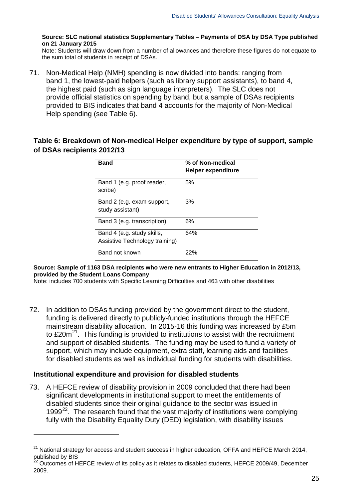**Source: SLC national statistics Supplementary Tables – Payments of DSA by DSA Type published on 21 January 2015**

Note: Students will draw down from a number of allowances and therefore these figures do not equate to the sum total of students in receipt of DSAs.

71. Non-Medical Help (NMH) spending is now divided into bands: ranging from band 1, the lowest-paid helpers (such as library support assistants), to band 4, the highest paid (such as sign language interpreters). The SLC does not provide official statistics on spending by band, but a sample of DSAs recipients provided to BIS indicates that band 4 accounts for the majority of Non-Medical Help spending (see Table 6).

#### **Table 6: Breakdown of Non-medical Helper expenditure by type of support, sample of DSAs recipients 2012/13**

| <b>Band</b>                                                  | % of Non-medical<br><b>Helper expenditure</b> |
|--------------------------------------------------------------|-----------------------------------------------|
| Band 1 (e.g. proof reader,<br>scribe)                        | 5%                                            |
| Band 2 (e.g. exam support,<br>study assistant)               | 3%                                            |
| Band 3 (e.g. transcription)                                  | 6%                                            |
| Band 4 (e.g. study skills,<br>Assistive Technology training) | 64%                                           |
| Band not known                                               | 22%                                           |

**Source: Sample of 1163 DSA recipients who were new entrants to Higher Education in 2012/13, provided by the Student Loans Company**

Note: includes 700 students with Specific Learning Difficulties and 463 with other disabilities

72. In addition to DSAs funding provided by the government direct to the student, funding is delivered directly to publicly-funded institutions through the HEFCE mainstream disability allocation. In 2015-16 this funding was increased by £5m to  $£20m<sup>21</sup>$ . This funding is provided to institutions to assist with the recruitment and support of disabled students. The funding may be used to fund a variety of support, which may include equipment, extra staff, learning aids and facilities for disabled students as well as individual funding for students with disabilities.

#### **Institutional expenditure and provision for disabled students**

-

73. A HEFCE review of disability provision in 2009 concluded that there had been significant developments in institutional support to meet the entitlements of disabled students since their original guidance to the sector was issued in 1999 $22$ . The research found that the vast majority of institutions were complying fully with the Disability Equality Duty (DED) legislation, with disability issues

<span id="page-24-0"></span> $21$  National strategy for access and student success in higher education, OFFA and HEFCE March 2014, published by BIS

<span id="page-24-1"></span><sup>22</sup> Outcomes of HEFCE review of its policy as it relates to disabled students, HEFCE 2009/49, December 2009.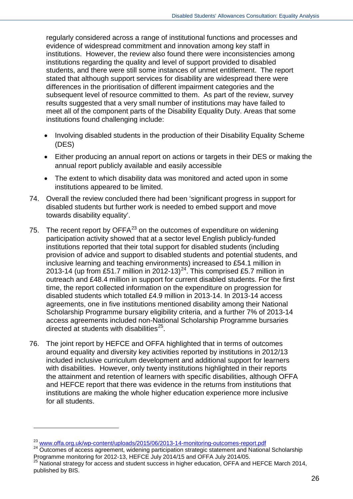regularly considered across a range of institutional functions and processes and evidence of widespread commitment and innovation among key staff in institutions. However, the review also found there were inconsistencies among institutions regarding the quality and level of support provided to disabled students, and there were still some instances of unmet entitlement. The report stated that although support services for disability are widespread there were differences in the prioritisation of different impairment categories and the subsequent level of resource committed to them. As part of the review, survey results suggested that a very small number of institutions may have failed to meet all of the component parts of the Disability Equality Duty. Areas that some institutions found challenging include:

- Involving disabled students in the production of their Disability Equality Scheme (DES)
- Either producing an annual report on actions or targets in their DES or making the annual report publicly available and easily accessible
- The extent to which disability data was monitored and acted upon in some institutions appeared to be limited.
- 74. Overall the review concluded there had been 'significant progress in support for disabled students but further work is needed to embed support and move towards disability equality'.
- 75. The recent report by  $OFFA^{23}$  $OFFA^{23}$  $OFFA^{23}$  on the outcomes of expenditure on widening participation activity showed that at a sector level English publicly-funded institutions reported that their total support for disabled students (including provision of advice and support to disabled students and potential students, and inclusive learning and teaching environments) increased to £54.1 million in 2013-14 (up from £51.7 million in 2012-13)<sup>[24](#page-25-1)</sup>. This comprised £5.7 million in outreach and £48.4 million in support for current disabled students. For the first time, the report collected information on the expenditure on progression for disabled students which totalled £4.9 million in 2013-14. In 2013-14 access agreements, one in five institutions mentioned disability among their National Scholarship Programme bursary eligibility criteria, and a further 7% of 2013-14 access agreements included non-National Scholarship Programme bursaries directed at students with disabilities $^{25}$ .
- 76. The joint report by HEFCE and OFFA highlighted that in terms of outcomes around equality and diversity key activities reported by institutions in 2012/13 included inclusive curriculum development and additional support for learners with disabilities. However, only twenty institutions highlighted in their reports the attainment and retention of learners with specific disabilities, although OFFA and HEFCE report that there was evidence in the returns from institutions that institutions are making the whole higher education experience more inclusive for all students.

<span id="page-25-1"></span><span id="page-25-0"></span> $^{23}$  [www.offa.org.uk/wp-content/uploads/2015/06/2013-14-monitoring-outcomes-report.pdf](https://www.offa.org.uk/wp-content/uploads/2015/06/2013-14-monitoring-outcomes-report.pdf)  $^{24}$  Outcomes of access agreement, widening participation strategic statement and National Scholarship Programme monitoring for 20

<span id="page-25-2"></span> $^{25}$  National strategy for access and student success in higher education, OFFA and HEFCE March 2014, published by BIS.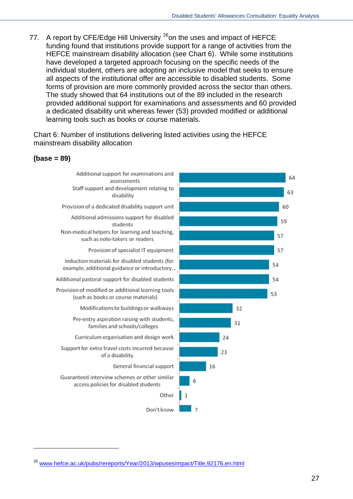77. A report by CFE/Edge Hill University <sup>[26](#page-26-0)</sup>on the uses and impact of HEFCE funding found that institutions provide support for a range of activities from the HEFCE mainstream disability allocation (see Chart 6). While some institutions have developed a targeted approach focusing on the specific needs of the individual student, others are adopting an inclusive model that seeks to ensure all aspects of the institutional offer are accessible to disabled students. Some forms of provision are more commonly provided across the sector than others. The study showed that 64 institutions out of the 89 included in the research provided additional support for examinations and assessments and 60 provided a dedicated disability unit whereas fewer (53) provided modified or additional learning tools such as books or course materials.

Chart 6: Number of institutions delivering listed activities using the HEFCE mainstream disability allocation





<span id="page-26-0"></span><sup>&</sup>lt;sup>26</sup> [www.hefce.ac.uk/pubs/rereports/Year/2013/wpusesimpact/Title,92176,en.html](http://www.hefce.ac.uk/pubs/rereports/Year/2013/wpusesimpact/Title,92176,en.html)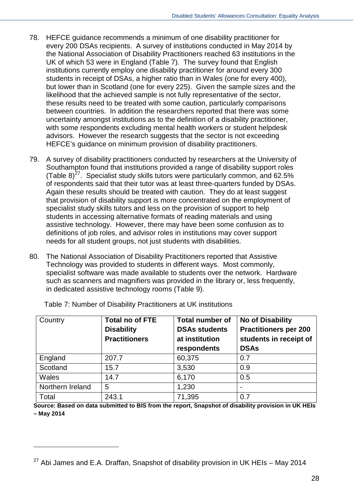- 78. HEFCE guidance recommends a minimum of one disability practitioner for every 200 DSAs recipients. A survey of institutions conducted in May 2014 by the National Association of Disability Practitioners reached 63 institutions in the UK of which 53 were in England (Table 7). The survey found that English institutions currently employ one disability practitioner for around every 300 students in receipt of DSAs, a higher ratio than in Wales (one for every 400), but lower than in Scotland (one for every 225). Given the sample sizes and the likelihood that the achieved sample is not fully representative of the sector, these results need to be treated with some caution, particularly comparisons between countries. In addition the researchers reported that there was some uncertainty amongst institutions as to the definition of a disability practitioner, with some respondents excluding mental health workers or student helpdesk advisors. However the research suggests that the sector is not exceeding HEFCE's guidance on minimum provision of disability practitioners.
- 79. A survey of disability practitioners conducted by researchers at the University of Southampton found that institutions provided a range of disability support roles (Table 8)<sup>[27](#page-27-0)</sup>. Specialist study skills tutors were particularly common, and 62.5% of respondents said that their tutor was at least three-quarters funded by DSAs. Again these results should be treated with caution. They do at least suggest that provision of disability support is more concentrated on the employment of specialist study skills tutors and less on the provision of support to help students in accessing alternative formats of reading materials and using assistive technology. However, there may have been some confusion as to definitions of job roles, and advisor roles in institutions may cover support needs for all student groups, not just students with disabilities.
- 80. The National Association of Disability Practitioners reported that Assistive Technology was provided to students in different ways. Most commonly, specialist software was made available to students over the network. Hardware such as scanners and magnifiers was provided in the library or, less frequently, in dedicated assistive technology rooms (Table 9).

| Country          | <b>Total no of FTE</b><br><b>Disability</b><br><b>Practitioners</b> | <b>Total number of</b><br><b>DSAs students</b><br>at institution<br>respondents | <b>No of Disability</b><br><b>Practitioners per 200</b><br>students in receipt of<br><b>DSAs</b> |
|------------------|---------------------------------------------------------------------|---------------------------------------------------------------------------------|--------------------------------------------------------------------------------------------------|
| England          | 207.7                                                               | 60,375                                                                          | 0.7                                                                                              |
| Scotland         | 15.7                                                                | 3,530                                                                           | 0.9                                                                                              |
| <b>Wales</b>     | 14.7                                                                | 6,170                                                                           | 0.5                                                                                              |
| Northern Ireland | 5                                                                   | 1,230                                                                           |                                                                                                  |
| Total            | 243.1                                                               | 71,395                                                                          | 0.7                                                                                              |

Table 7: Number of Disability Practitioners at UK institutions

<u>.</u>

**Source: Based on data submitted to BIS from the report, Snapshot of disability provision in UK HEIs – May 2014**

<span id="page-27-0"></span> $27$  Abi James and E.A. Draffan, Snapshot of disability provision in UK HEIs – May 2014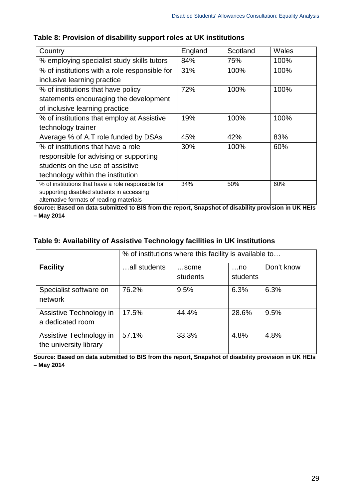| Country                                            | England | Scotland | Wales |
|----------------------------------------------------|---------|----------|-------|
| % employing specialist study skills tutors         | 84%     | 75%      | 100%  |
| % of institutions with a role responsible for      | 31%     | 100%     | 100%  |
| inclusive learning practice                        |         |          |       |
| % of institutions that have policy                 | 72%     | 100%     | 100%  |
| statements encouraging the development             |         |          |       |
| of inclusive learning practice                     |         |          |       |
| % of institutions that employ at Assistive         | 19%     | 100%     | 100%  |
| technology trainer                                 |         |          |       |
| Average % of A.T role funded by DSAs               | 45%     | 42%      | 83%   |
| % of institutions that have a role                 | 30%     | 100%     | 60%   |
| responsible for advising or supporting             |         |          |       |
| students on the use of assistive                   |         |          |       |
| technology within the institution                  |         |          |       |
| % of institutions that have a role responsible for | 34%     | 50%      | 60%   |
| supporting disabled students in accessing          |         |          |       |
| alternative formats of reading materials           |         |          |       |

#### **Table 8: Provision of disability support roles at UK institutions**

**Source: Based on data submitted to BIS from the report, Snapshot of disability provision in UK HEIs – May 2014** 

#### **Table 9: Availability of Assistive Technology facilities in UK institutions**

|                                                   | % of institutions where this facility is available to |                  |                        |            |  |  |  |  |
|---------------------------------------------------|-------------------------------------------------------|------------------|------------------------|------------|--|--|--|--|
| <b>Facility</b>                                   | all students                                          | some<br>students | $\dots$ no<br>students | Don't know |  |  |  |  |
| Specialist software on<br>network                 | 76.2%                                                 | 9.5%             | 6.3%                   | 6.3%       |  |  |  |  |
| Assistive Technology in<br>a dedicated room       | 17.5%                                                 | 44.4%            | 28.6%                  | 9.5%       |  |  |  |  |
| Assistive Technology in<br>the university library | 57.1%                                                 | 33.3%            | 4.8%                   | 4.8%       |  |  |  |  |

Source: Based on data submitted to BIS from the report, Snapshot of disability provision in UK HEIs **– May 2014**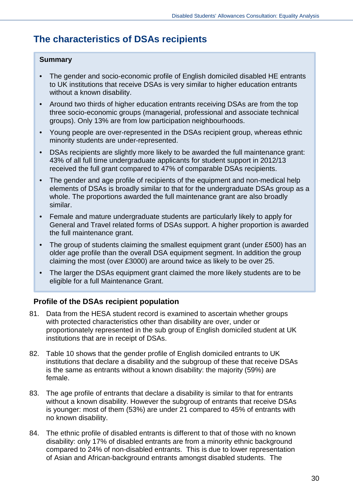## <span id="page-29-0"></span>**The characteristics of DSAs recipients**

#### **Summary**

- The gender and socio-economic profile of English domiciled disabled HE entrants to UK institutions that receive DSAs is very similar to higher education entrants without a known disability.
- Around two thirds of higher education entrants receiving DSAs are from the top three socio-economic groups (managerial, professional and associate technical groups). Only 13% are from low participation neighbourhoods.
- Young people are over-represented in the DSAs recipient group, whereas ethnic minority students are under-represented.
- DSAs recipients are slightly more likely to be awarded the full maintenance grant: 43% of all full time undergraduate applicants for student support in 2012/13 received the full grant compared to 47% of comparable DSAs recipients.
- The gender and age profile of recipients of the equipment and non-medical help elements of DSAs is broadly similar to that for the undergraduate DSAs group as a whole. The proportions awarded the full maintenance grant are also broadly similar.
- Female and mature undergraduate students are particularly likely to apply for General and Travel related forms of DSAs support. A higher proportion is awarded the full maintenance grant.
- The group of students claiming the smallest equipment grant (under £500) has an older age profile than the overall DSA equipment segment. In addition the group claiming the most (over £3000) are around twice as likely to be over 25.
- The larger the DSAs equipment grant claimed the more likely students are to be eligible for a full Maintenance Grant.

#### **Profile of the DSAs recipient population**

- 81. Data from the HESA student record is examined to ascertain whether groups with protected characteristics other than disability are over, under or proportionately represented in the sub group of English domiciled student at UK institutions that are in receipt of DSAs.
- 82. Table 10 shows that the gender profile of English domiciled entrants to UK institutions that declare a disability and the subgroup of these that receive DSAs is the same as entrants without a known disability: the majority (59%) are female.
- 83. The age profile of entrants that declare a disability is similar to that for entrants without a known disability. However the subgroup of entrants that receive DSAs is younger: most of them (53%) are under 21 compared to 45% of entrants with no known disability.
- 84. The ethnic profile of disabled entrants is different to that of those with no known disability: only 17% of disabled entrants are from a minority ethnic background compared to 24% of non-disabled entrants. This is due to lower representation of Asian and African-background entrants amongst disabled students. The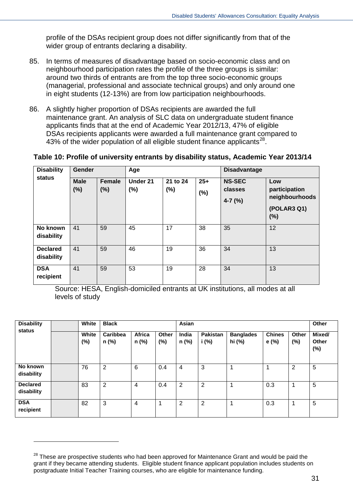profile of the DSAs recipient group does not differ significantly from that of the wider group of entrants declaring a disability.

- 85. In terms of measures of disadvantage based on socio-economic class and on neighbourhood participation rates the profile of the three groups is similar: around two thirds of entrants are from the top three socio-economic groups (managerial, professional and associate technical groups) and only around one in eight students (12-13%) are from low participation neighbourhoods.
- 86. A slightly higher proportion of DSAs recipients are awarded the full maintenance grant. An analysis of SLC data on undergraduate student finance applicants finds that at the end of Academic Year 2012/13, 47% of eligible DSAs recipients applicants were awarded a full maintenance grant compared to 43% of the wider population of all eligible student finance applicants $^{28}$  $^{28}$  $^{28}$ .

**Table 10: Profile of university entrants by disability status, Academic Year 2013/14**

| <b>Disability</b><br>status   | Gender                |                      | Age             |                    |       | <b>Disadvantage</b>      |                      |  |
|-------------------------------|-----------------------|----------------------|-----------------|--------------------|-------|--------------------------|----------------------|--|
|                               | <b>Male</b><br>$(\%)$ | <b>Female</b><br>(%) | Under 21<br>(%) | 21 to 24<br>$(\%)$ | $25+$ | <b>NS-SEC</b><br>classes | Low<br>participation |  |
|                               |                       |                      |                 |                    | (%)   | $4-7$ (%)                | neighbourhoods       |  |
|                               |                       |                      |                 |                    |       |                          | (POLAR3 Q1)<br>(%)   |  |
| No known<br>disability        | 41                    | 59                   | 45              | 17                 | 38    | 35                       | 12                   |  |
| <b>Declared</b><br>disability | 41                    | 59                   | 46              | 19                 | 36    | 34                       | 13                   |  |
| <b>DSA</b><br>recipient       | 41                    | 59                   | 53              | 19                 | 28    | 34                       | 13                   |  |

Source: HESA, English-domiciled entrants at UK institutions, all modes at all levels of study

| <b>Disability</b><br>White<br>status |  |                 | <b>Black</b>      |                 |              | Asian          |                          |                            |                        |                | Other                  |
|--------------------------------------|--|-----------------|-------------------|-----------------|--------------|----------------|--------------------------|----------------------------|------------------------|----------------|------------------------|
|                                      |  | White<br>$(\%)$ | Caribbea<br>n (%) | Africa<br>n (%) | Other<br>(%) | India<br>n (%) | <b>Pakistan</b><br>i (%) | <b>Banglades</b><br>hi (%) | <b>Chines</b><br>e (%) | Other<br>(%)   | Mixed/<br>Other<br>(%) |
| No known<br>disability               |  | 76              | $\overline{2}$    | 6               | 0.4          | 4              | 3                        |                            | 4                      | $\overline{2}$ | 5                      |
| <b>Declared</b><br>disability        |  | 83              | $\overline{2}$    | $\overline{4}$  | 0.4          | $\overline{2}$ | 2                        |                            | 0.3                    | -1             | 5                      |
| <b>DSA</b><br>recipient              |  | 82              | 3                 | $\overline{4}$  |              | 2              | 2                        | и                          | 0.3                    | 1              | 5                      |

<span id="page-30-0"></span><sup>&</sup>lt;sup>28</sup> These are prospective students who had been approved for Maintenance Grant and would be paid the grant if they became attending students. Eligible student finance applicant population includes students on postgraduate Initial Teacher Training courses, who are eligible for maintenance funding.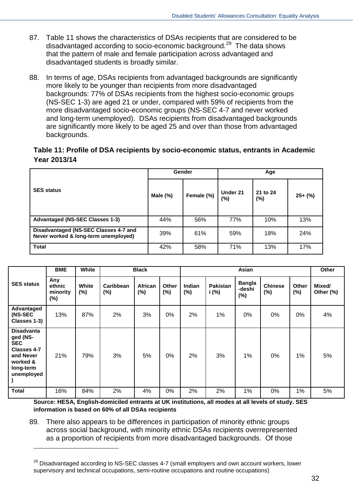- 87. Table 11 shows the characteristics of DSAs recipients that are considered to be disadvantaged according to socio-economic background.<sup>[29](#page-31-0)</sup> The data shows that the pattern of male and female participation across advantaged and disadvantaged students is broadly similar.
- 88. In terms of age, DSAs recipients from advantaged backgrounds are significantly more likely to be younger than recipients from more disadvantaged backgrounds: 77% of DSAs recipients from the highest socio-economic groups (NS-SEC 1-3) are aged 21 or under, compared with 59% of recipients from the more disadvantaged socio-economic groups (NS-SEC 4-7 and never worked and long-term unemployed). DSAs recipients from disadvantaged backgrounds are significantly more likely to be aged 25 and over than those from advantaged backgrounds.

#### **Table 11: Profile of DSA recipients by socio-economic status, entrants in Academic Year 2013/14**

|                                                                               |             | Gender     | Age             |                 |           |  |
|-------------------------------------------------------------------------------|-------------|------------|-----------------|-----------------|-----------|--|
| <b>SES status</b>                                                             | Male $(\%)$ | Female (%) | Under 21<br>(%) | 21 to 24<br>(%) | $25+$ (%) |  |
| <b>Advantaged (NS-SEC Classes 1-3)</b>                                        | 44%         | 56%        | 77%             | 10%             | 13%       |  |
| Disadvantaged (NS-SEC Classes 4-7 and<br>Never worked & long-term unemployed) | 39%         | 61%        | 59%             | 18%             | 24%       |  |
| <b>Total</b>                                                                  | 42%         | 58%        | 71%             | 13%             | 17%       |  |

|                                                                                                                       | <b>BME</b>                          | White           |                  | <b>Black</b><br>Asian |                        |                         |                          | Other                             |                          |                        |                     |
|-----------------------------------------------------------------------------------------------------------------------|-------------------------------------|-----------------|------------------|-----------------------|------------------------|-------------------------|--------------------------|-----------------------------------|--------------------------|------------------------|---------------------|
| <b>SES status</b>                                                                                                     | Any<br>ethnic<br>minority<br>$(\%)$ | White<br>$(\%)$ | Caribbean<br>(%) | African<br>$(\%)$     | <b>Other</b><br>$(\%)$ | <b>Indian</b><br>$(\%)$ | <b>Pakistan</b><br>i (%) | <b>Bangla</b><br>-deshi<br>$(\%)$ | <b>Chinese</b><br>$(\%)$ | <b>Other</b><br>$(\%)$ | Mixed/<br>Other (%) |
| Advantaged<br>(NS-SEC<br>Classes 1-3)                                                                                 | 13%                                 | 87%             | 2%               | 3%                    | $0\%$                  | 2%                      | 1%                       | 0%                                | 0%                       | 0%                     | 4%                  |
| <b>Disadvanta</b><br>ged (NS-<br><b>SEC</b><br><b>Classes 4-7</b><br>and Never<br>worked &<br>long-term<br>unemployed | 21%                                 | 79%             | 3%               | 5%                    | 0%                     | 2%                      | 3%                       | 1%                                | 0%                       | 1%                     | 5%                  |
| <b>Total</b>                                                                                                          | 16%                                 | 84%             | 2%               | 4%                    | 0%                     | 2%                      | 2%                       | 1%                                | 0%                       | 1%                     | 5%                  |

**Source: HESA, English-domiciled entrants at UK institutions, all modes at all levels of study. SES information is based on 60% of all DSAs recipients**

89. There also appears to be differences in participation of minority ethnic groups across social background, with minority ethnic DSAs recipients overrepresented as a proportion of recipients from more disadvantaged backgrounds. Of those

<span id="page-31-0"></span> $29$  Disadvantaged according to NS-SEC classes 4-7 (small employers and own account workers, lower supervisory and technical occupations, semi-routine occupations and routine occupations)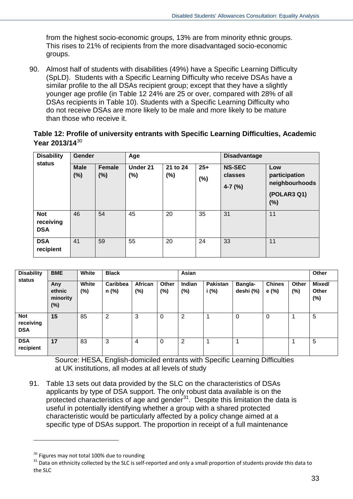from the highest socio-economic groups, 13% are from minority ethnic groups. This rises to 21% of recipients from the more disadvantaged socio-economic groups.

90. Almost half of students with disabilities (49%) have a Specific Learning Difficulty (SpLD). Students with a Specific Learning Difficulty who receive DSAs have a similar profile to the all DSAs recipient group; except that they have a slightly younger age profile (in Table 12 24% are 25 or over, compared with 28% of all DSAs recipients in Table 10). Students with a Specific Learning Difficulty who do not receive DSAs are more likely to be male and more likely to be mature than those who receive it.

#### **Table 12: Profile of university entrants with Specific Learning Difficulties, Academic Year 2013/14**[30](#page-32-0)

| <b>Disability</b><br>status           | Gender      |               | Age      |          |       | <b>Disadvantage</b>  |                                 |  |
|---------------------------------------|-------------|---------------|----------|----------|-------|----------------------|---------------------------------|--|
|                                       | <b>Male</b> | <b>Female</b> | Under 21 | 21 to 24 | $25+$ | <b>NS-SEC</b>        | Low                             |  |
|                                       | $(\%)$      | (%)           | $(\%)$   | $(\%)$   | (%)   | classes<br>$4-7$ (%) | participation<br>neighbourhoods |  |
|                                       |             |               |          |          |       |                      | (POLAR3 Q1)<br>(%)              |  |
| <b>Not</b><br>receiving<br><b>DSA</b> | 46          | 54            | 45       | 20       | 35    | 31                   | 11                              |  |
| <b>DSA</b><br>recipient               | 41          | 59            | 55       | 20       | 24    | 33                   | 11                              |  |

| <b>Disability</b>                     | <b>BME</b>                          | White           | <b>Black</b>      |                       |              | Asian          |                   |                      |                        |                 | Other                     |
|---------------------------------------|-------------------------------------|-----------------|-------------------|-----------------------|--------------|----------------|-------------------|----------------------|------------------------|-----------------|---------------------------|
| status                                | Any<br>ethnic<br>minority<br>$(\%)$ | White<br>$(\%)$ | Caribbea<br>n (%) | <b>African</b><br>(%) | Other<br>(%) | Indian<br>(%)  | Pakistan<br>i (%) | Bangla-<br>deshi (%) | <b>Chines</b><br>e (%) | Other<br>$(\%)$ | Mixed/<br>Other<br>$(\%)$ |
| <b>Not</b><br>receiving<br><b>DSA</b> | 15                                  | 85              | $\overline{2}$    | 3                     | 0            | 2              |                   | 0                    | 0                      |                 | 5                         |
| <b>DSA</b><br>recipient               | 17                                  | 83              | 3                 | 4                     | 0            | $\overline{2}$ |                   | ٠                    |                        |                 | 5                         |

Source: HESA, English-domiciled entrants with Specific Learning Difficulties at UK institutions, all modes at all levels of study

91. Table 13 sets out data provided by the SLC on the characteristics of DSAs applicants by type of DSA support. The only robust data available is on the protected characteristics of age and gender $31$ . Despite this limitation the data is useful in potentially identifying whether a group with a shared protected characteristic would be particularly affected by a policy change aimed at a specific type of DSAs support. The proportion in receipt of a full maintenance

<span id="page-32-1"></span><span id="page-32-0"></span> $30$  Figures may not total 100% due to rounding<br> $31$  Data on ethnicity collected by the SLC is self-reported and only a small proportion of students provide this data to the SLC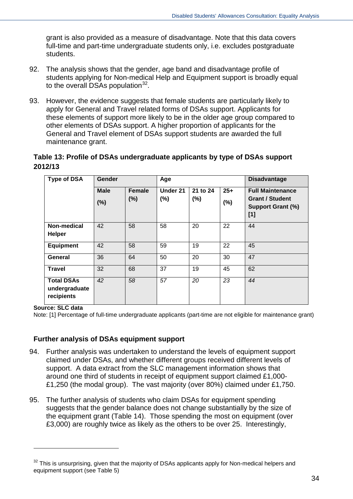grant is also provided as a measure of disadvantage. Note that this data covers full-time and part-time undergraduate students only, i.e. excludes postgraduate students.

- 92. The analysis shows that the gender, age band and disadvantage profile of students applying for Non-medical Help and Equipment support is broadly equal to the overall DSAs population  $32$ .
- 93. However, the evidence suggests that female students are particularly likely to apply for General and Travel related forms of DSAs support. Applicants for these elements of support more likely to be in the older age group compared to other elements of DSAs support. A higher proportion of applicants for the General and Travel element of DSAs support students are awarded the full maintenance grant.

#### **Table 13: Profile of DSAs undergraduate applicants by type of DSAs support 2012/13**

| <b>Type of DSA</b>                               | Gender             |                         |                     |                    |                 | <b>Disadvantage</b>                                                                  |
|--------------------------------------------------|--------------------|-------------------------|---------------------|--------------------|-----------------|--------------------------------------------------------------------------------------|
|                                                  | <b>Male</b><br>(%) | <b>Female</b><br>$(\%)$ | Under 21<br>$(\% )$ | 21 to 24<br>$(\%)$ | $25+$<br>$(\%)$ | <b>Full Maintenance</b><br><b>Grant / Student</b><br><b>Support Grant (%)</b><br>[1] |
| Non-medical<br><b>Helper</b>                     | 42                 | 58                      | 58                  | 20                 | 22              | 44                                                                                   |
| <b>Equipment</b>                                 | 42                 | 58                      | 59                  | 19                 | 22              | 45                                                                                   |
| <b>General</b>                                   | 36                 | 64                      | 50                  | 20                 | 30              | 47                                                                                   |
| <b>Travel</b>                                    | 32                 | 68                      | 37                  | 19                 | 45              | 62                                                                                   |
| <b>Total DSAs</b><br>undergraduate<br>recipients | 42                 | 58                      | 57                  | 20                 | 23              | 44                                                                                   |

**Source: SLC data** 

-

Note: [1] Percentage of full-time undergraduate applicants (part-time are not eligible for maintenance grant)

#### **Further analysis of DSAs equipment support**

- 94. Further analysis was undertaken to understand the levels of equipment support claimed under DSAs, and whether different groups received different levels of support. A data extract from the SLC management information shows that around one third of students in receipt of equipment support claimed £1,000- £1,250 (the modal group). The vast majority (over 80%) claimed under £1,750.
- 95. The further analysis of students who claim DSAs for equipment spending suggests that the gender balance does not change substantially by the size of the equipment grant (Table 14). Those spending the most on equipment (over £3,000) are roughly twice as likely as the others to be over 25. Interestingly,

<span id="page-33-0"></span> $32$  This is unsurprising, given that the majority of DSAs applicants apply for Non-medical helpers and equipment support (see Table 5)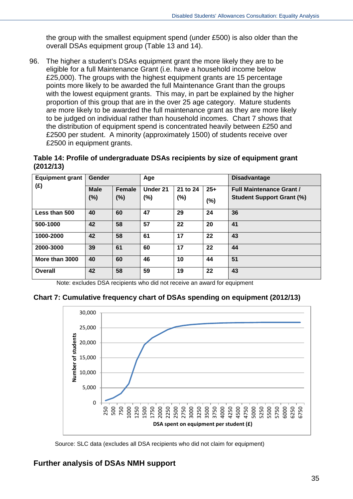the group with the smallest equipment spend (under £500) is also older than the overall DSAs equipment group (Table 13 and 14).

96. The higher a student's DSAs equipment grant the more likely they are to be eligible for a full Maintenance Grant (i.e. have a household income below £25,000). The groups with the highest equipment grants are 15 percentage points more likely to be awarded the full Maintenance Grant than the groups with the lowest equipment grants. This may, in part be explained by the higher proportion of this group that are in the over 25 age category. Mature students are more likely to be awarded the full maintenance grant as they are more likely to be judged on individual rather than household incomes. Chart 7 shows that the distribution of equipment spend is concentrated heavily between £250 and £2500 per student. A minority (approximately 1500) of students receive over £2500 in equipment grants.

#### **Table 14: Profile of undergraduate DSAs recipients by size of equipment grant (2012/13)**

| <b>Equipment grant</b><br>Gender |             |               | Age      |          |       | <b>Disadvantage</b>              |
|----------------------------------|-------------|---------------|----------|----------|-------|----------------------------------|
| $(\hat{E})$                      | <b>Male</b> | <b>Female</b> | Under 21 | 21 to 24 | $25+$ | <b>Full Maintenance Grant /</b>  |
|                                  | $(\%)$      | (%)           | $(\% )$  | (%)      | (%)   | <b>Student Support Grant (%)</b> |
| Less than 500                    | 40          | 60            | 47       | 29       | 24    | 36                               |
| 500-1000                         | 42          | 58            | 57       | 22       | 20    | 41                               |
| 1000-2000                        | 42          | 58            | 61       | 17       | 22    | 43                               |
| 2000-3000                        | 39          | 61            | 60       | 17       | 22    | 44                               |
| More than 3000                   | 40          | 60            | 46       | 10       | 44    | 51                               |
| <b>Overall</b>                   | 42          | 58            | 59       | 19       | 22    | 43                               |

Note: excludes DSA recipients who did not receive an award for equipment

#### **Chart 7: Cumulative frequency chart of DSAs spending on equipment (2012/13)**



Source: SLC data (excludes all DSA recipients who did not claim for equipment)

#### **Further analysis of DSAs NMH support**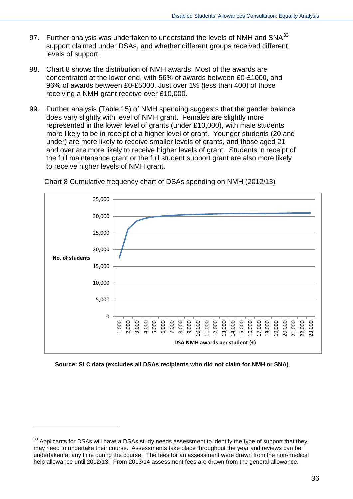- 97. Further analysis was undertaken to understand the levels of NMH and  $SNA^{33}$  $SNA^{33}$  $SNA^{33}$ support claimed under DSAs, and whether different groups received different levels of support.
- 98. Chart 8 shows the distribution of NMH awards. Most of the awards are concentrated at the lower end, with 56% of awards between £0-£1000, and 96% of awards between £0-£5000. Just over 1% (less than 400) of those receiving a NMH grant receive over £10,000.
- 99. Further analysis (Table 15) of NMH spending suggests that the gender balance does vary slightly with level of NMH grant. Females are slightly more represented in the lower level of grants (under £10,000), with male students more likely to be in receipt of a higher level of grant. Younger students (20 and under) are more likely to receive smaller levels of grants, and those aged 21 and over are more likely to receive higher levels of grant. Students in receipt of the full maintenance grant or the full student support grant are also more likely to receive higher levels of NMH grant.



Chart 8 Cumulative frequency chart of DSAs spending on NMH (2012/13)

**Source: SLC data (excludes all DSAs recipients who did not claim for NMH or SNA)** 

<span id="page-35-0"></span><sup>&</sup>lt;sup>33</sup> Applicants for DSAs will have a DSAs study needs assessment to identify the type of support that they may need to undertake their course. Assessments take place throughout the year and reviews can be undertaken at any time during the course. The fees for an assessment were drawn from the non-medical help allowance until 2012/13. From 2013/14 assessment fees are drawn from the general allowance.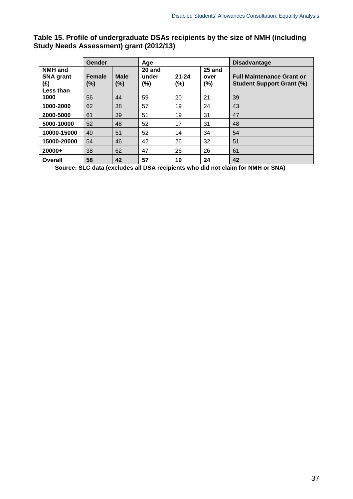## **Table 15. Profile of undergraduate DSAs recipients by the size of NMH (including Study Needs Assessment) grant (2012/13)**

|                                           | Gender<br>Age |                       |                        |                  |                          | <b>Disadvantage</b>                                                  |
|-------------------------------------------|---------------|-----------------------|------------------------|------------------|--------------------------|----------------------------------------------------------------------|
| <b>NMH</b> and<br><b>SNA grant</b><br>(£) | Female<br>(%) | <b>Male</b><br>$(\%)$ | 20 and<br>under<br>(%) | $21 - 24$<br>(%) | 25 and<br>over<br>$(\%)$ | <b>Full Maintenance Grant or</b><br><b>Student Support Grant (%)</b> |
| Less than<br>1000                         | 56            | 44                    | 59                     | 20               | 21                       | 39                                                                   |
| 1000-2000                                 | 62            | 38                    | 57                     | 19               | 24                       | 43                                                                   |
| 2000-5000                                 | 61            | 39                    | 51                     | 19               | 31                       | 47                                                                   |
| 5000-10000                                | 52            | 48                    | 52                     | 17               | 31                       | 48                                                                   |
| 10000-15000                               | 49            | 51                    | 52                     | 14               | 34                       | 54                                                                   |
| 15000-20000                               | 54            | 46                    | 42                     | 26               | 32                       | 51                                                                   |
| $20000+$                                  | 38            | 62                    | 47                     | 26               | 26                       | 61                                                                   |
| Overall                                   | 58            | 42                    | 57                     | 19               | 24                       | 42                                                                   |

**Source: SLC data (excludes all DSA recipients who did not claim for NMH or SNA)**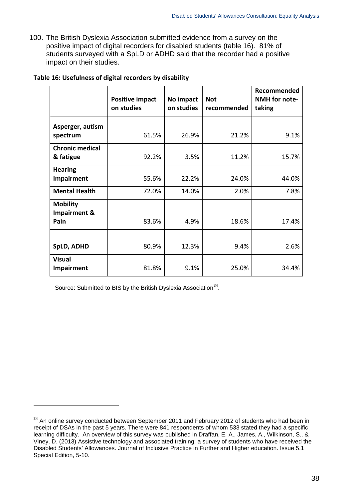100. The British Dyslexia Association submitted evidence from a survey on the positive impact of digital recorders for disabled students (table 16). 81% of students surveyed with a SpLD or ADHD said that the recorder had a positive impact on their studies.

|                                         | <b>Positive impact</b><br>on studies | No impact<br>on studies | <b>Not</b><br>recommended | Recommended<br>NMH for note-<br>taking |
|-----------------------------------------|--------------------------------------|-------------------------|---------------------------|----------------------------------------|
| Asperger, autism<br>spectrum            | 61.5%                                | 26.9%                   | 21.2%                     | 9.1%                                   |
| <b>Chronic medical</b><br>& fatigue     | 92.2%                                | 3.5%                    | 11.2%                     | 15.7%                                  |
| <b>Hearing</b><br>Impairment            | 55.6%                                | 22.2%                   | 24.0%                     | 44.0%                                  |
| <b>Mental Health</b>                    | 72.0%                                | 14.0%                   | 2.0%                      | 7.8%                                   |
| <b>Mobility</b><br>Impairment &<br>Pain | 83.6%                                | 4.9%                    | 18.6%                     | 17.4%                                  |
| <b>SpLD, ADHD</b>                       | 80.9%                                | 12.3%                   | 9.4%                      | 2.6%                                   |
| <b>Visual</b><br><b>Impairment</b>      | 81.8%                                | 9.1%                    | 25.0%                     | 34.4%                                  |

#### **Table 16: Usefulness of digital recorders by disability**

Source: Submitted to BIS by the British Dyslexia Association<sup>34</sup>.

-

<span id="page-37-0"></span><sup>&</sup>lt;sup>34</sup> An online survey conducted between September 2011 and February 2012 of students who had been in receipt of DSAs in the past 5 years. There were 841 respondents of whom 533 stated they had a specific learning difficulty. An overview of this survey was published in Draffan, E. A., James, A., Wilkinson, S., & Viney, D. (2013) Assistive technology and associated training: a survey of students who have received the Disabled Students' Allowances. Journal of Inclusive Practice in Further and Higher education. Issue 5.1 Special Edition, 5-10.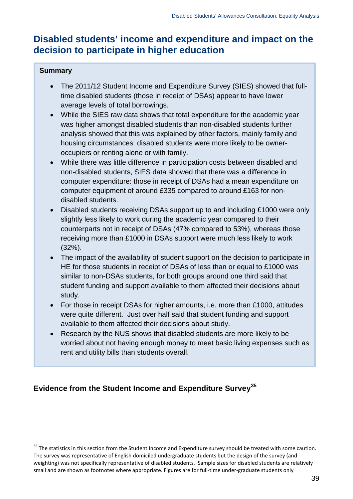## **Disabled students' income and expenditure and impact on the decision to participate in higher education**

## **Summary**

-

- The 2011/12 Student Income and Expenditure Survey (SIES) showed that fulltime disabled students (those in receipt of DSAs) appear to have lower average levels of total borrowings.
- While the SIES raw data shows that total expenditure for the academic year was higher amongst disabled students than non-disabled students further analysis showed that this was explained by other factors, mainly family and housing circumstances: disabled students were more likely to be owneroccupiers or renting alone or with family.
- While there was little difference in participation costs between disabled and non-disabled students, SIES data showed that there was a difference in computer expenditure: those in receipt of DSAs had a mean expenditure on computer equipment of around £335 compared to around £163 for nondisabled students.
- Disabled students receiving DSAs support up to and including £1000 were only slightly less likely to work during the academic year compared to their counterparts not in receipt of DSAs (47% compared to 53%), whereas those receiving more than £1000 in DSAs support were much less likely to work (32%).
- The impact of the availability of student support on the decision to participate in HE for those students in receipt of DSAs of less than or equal to £1000 was similar to non-DSAs students, for both groups around one third said that student funding and support available to them affected their decisions about study.
- For those in receipt DSAs for higher amounts, i.e. more than £1000, attitudes were quite different. Just over half said that student funding and support available to them affected their decisions about study.
- Research by the NUS shows that disabled students are more likely to be worried about not having enough money to meet basic living expenses such as rent and utility bills than students overall.

## **Evidence from the Student Income and Expenditure Survey[35](#page-38-0)**

<span id="page-38-0"></span><sup>&</sup>lt;sup>35</sup> The statistics in this section from the Student Income and Expenditure survey should be treated with some caution. The survey was representative of English domiciled undergraduate students but the design of the survey (and weighting) was not specifically representative of disabled students. Sample sizes for disabled students are relatively small and are shown as footnotes where appropriate. Figures are for full-time under-graduate students only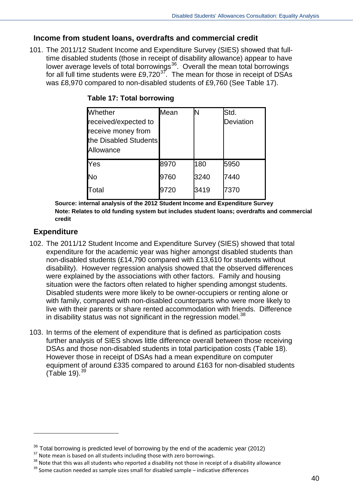## **Income from student loans, overdrafts and commercial credit**

101. The 2011/12 Student Income and Expenditure Survey (SIES) showed that fulltime disabled students (those in receipt of disability allowance) appear to have lower average levels of total borrowings<sup>[36](#page-39-0)</sup>. Overall the mean total borrowings for all full time students were £9,720 $3^7$ . The mean for those in receipt of DSAs was £8,970 compared to non-disabled students of £9,760 (See Table 17).

| <b>Whether</b>        | Mean |      | Std.      |
|-----------------------|------|------|-----------|
| received/expected to  |      |      | Deviation |
| receive money from    |      |      |           |
| the Disabled Students |      |      |           |
| Allowance             |      |      |           |
| Yes                   | 8970 | 180  | 5950      |
| No                    | 9760 | 3240 | 7440      |
| Total                 | 9720 | 3419 | 7370      |

### **Table 17: Total borrowing**

**Source: internal analysis of the 2012 Student Income and Expenditure Survey Note: Relates to old funding system but includes student loans; overdrafts and commercial credit**

## **Expenditure**

-

- 102. The 2011/12 Student Income and Expenditure Survey (SIES) showed that total expenditure for the academic year was higher amongst disabled students than non-disabled students (£14,790 compared with £13,610 for students without disability). However regression analysis showed that the observed differences were explained by the associations with other factors. Family and housing situation were the factors often related to higher spending amongst students. Disabled students were more likely to be owner-occupiers or renting alone or with family, compared with non-disabled counterparts who were more likely to live with their parents or share rented accommodation with friends. Difference in disability status was not significant in the regression model.<sup>[38](#page-39-2)</sup>
- 103. In terms of the element of expenditure that is defined as participation costs further analysis of SIES shows little difference overall between those receiving DSAs and those non-disabled students in total participation costs (Table 18). However those in receipt of DSAs had a mean expenditure on computer equipment of around £335 compared to around £163 for non-disabled students  $(Table 19)<sup>39</sup>$  $(Table 19)<sup>39</sup>$  $(Table 19)<sup>39</sup>$

<span id="page-39-1"></span><span id="page-39-0"></span><sup>&</sup>lt;sup>36</sup> Total borrowing is predicted level of borrowing by the end of the academic year (2012)<br><sup>37</sup> Note mean is based on all students including those with zero borrowings.<br><sup>38</sup> Note that this was all students who reported a

<span id="page-39-2"></span>

<span id="page-39-3"></span>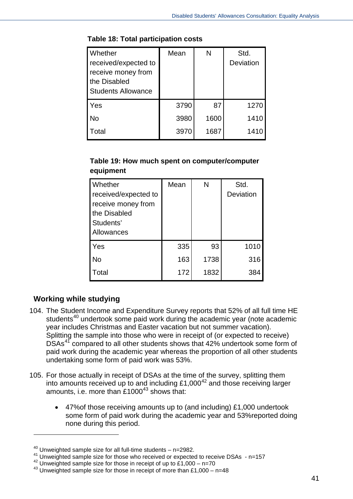| Whether                   | Mean | N    | Std.      |
|---------------------------|------|------|-----------|
| received/expected to      |      |      | Deviation |
| receive money from        |      |      |           |
| the Disabled              |      |      |           |
| <b>Students Allowance</b> |      |      |           |
| Yes                       | 3790 | 87   | 1270      |
| <b>No</b>                 | 3980 | 1600 | 1410      |
| Total                     | 3970 | 1687 | 1410      |

#### **Table 18: Total participation costs**

## **Table 19: How much spent on computer/computer equipment**

| Whether<br>received/expected to<br>receive money from<br>the Disabled<br>Students'<br>Allowances | Mean | N    | Std.<br>Deviation |
|--------------------------------------------------------------------------------------------------|------|------|-------------------|
| Yes                                                                                              | 335  | 93   | 1010              |
| <b>No</b>                                                                                        | 163  | 1738 | 316               |
| Total                                                                                            | 172  | 1832 | 384               |

## **Working while studying**

-

- 104. The Student Income and Expenditure Survey reports that 52% of all full time HE students<sup>[40](#page-40-0)</sup> undertook some paid work during the academic year (note academic year includes Christmas and Easter vacation but not summer vacation). Splitting the sample into those who were in receipt of (or expected to receive) DSAs<sup>[41](#page-40-1)</sup> compared to all other students shows that 42% undertook some form of paid work during the academic year whereas the proportion of all other students undertaking some form of paid work was 53%.
- 105. For those actually in receipt of DSAs at the time of the survey, splitting them into amounts received up to and including £1,000[42](#page-40-2) and those receiving larger amounts, i.e. more than £1000<sup>[43](#page-40-3)</sup> shows that:
	- 47%of those receiving amounts up to (and including) £1,000 undertook some form of paid work during the academic year and 53%reported doing none during this period.

<span id="page-40-0"></span> $40$  Unweighted sample size for all full-time students  $-$  n=2982.

<span id="page-40-1"></span><sup>&</sup>lt;sup>41</sup> Unweighted sample size for those who received or expected to receive DSAs - n=157

<span id="page-40-2"></span> $42$  Unweighted sample size for those in receipt of up to £1,000 – n=70

<span id="page-40-3"></span> $43$  Unweighted sample size for those in receipt of more than £1,000 – n=48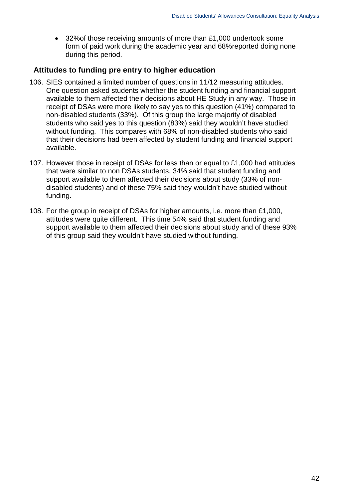• 32%of those receiving amounts of more than £1,000 undertook some form of paid work during the academic year and 68%reported doing none during this period.

## **Attitudes to funding pre entry to higher education**

- 106. SIES contained a limited number of questions in 11/12 measuring attitudes. One question asked students whether the student funding and financial support available to them affected their decisions about HE Study in any way. Those in receipt of DSAs were more likely to say yes to this question (41%) compared to non-disabled students (33%). Of this group the large majority of disabled students who said yes to this question (83%) said they wouldn't have studied without funding. This compares with 68% of non-disabled students who said that their decisions had been affected by student funding and financial support available.
- 107. However those in receipt of DSAs for less than or equal to £1,000 had attitudes that were similar to non DSAs students, 34% said that student funding and support available to them affected their decisions about study (33% of nondisabled students) and of these 75% said they wouldn't have studied without funding.
- 108. For the group in receipt of DSAs for higher amounts, i.e. more than £1,000, attitudes were quite different. This time 54% said that student funding and support available to them affected their decisions about study and of these 93% of this group said they wouldn't have studied without funding.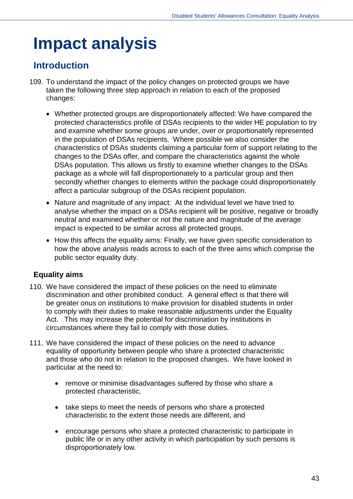## **Impact analysis**

## **Introduction**

- 109. To understand the impact of the policy changes on protected groups we have taken the following three step approach in relation to each of the proposed changes:
	- Whether protected groups are disproportionately affected: We have compared the protected characteristics profile of DSAs recipients to the wider HE population to try and examine whether some groups are under, over or proportionately represented in the population of DSAs recipients. Where possible we also consider the characteristics of DSAs students claiming a particular form of support relating to the changes to the DSAs offer, and compare the characteristics against the whole DSAs population. This allows us firstly to examine whether changes to the DSAs package as a whole will fall disproportionately to a particular group and then secondly whether changes to elements within the package could disproportionately affect a particular subgroup of the DSAs recipient population.
	- Nature and magnitude of any impact: At the individual level we have tried to analyse whether the impact on a DSAs recipient will be positive, negative or broadly neutral and examined whether or not the nature and magnitude of the average impact is expected to be similar across all protected groups.
	- How this affects the equality aims: Finally, we have given specific consideration to how the above analysis reads across to each of the three aims which comprise the public sector equality duty.

## **Equality aims**

- 110. We have considered the impact of these policies on the need to eliminate discrimination and other prohibited conduct. A general effect is that there will be greater onus on institutions to make provision for disabled students in order to comply with their duties to make reasonable adjustments under the Equality Act. This may increase the potential for discrimination by institutions in circumstances where they fail to comply with those duties.
- 111. We have considered the impact of these policies on the need to advance equality of opportunity between people who share a protected characteristic and those who do not in relation to the proposed changes. We have looked in particular at the need to:
	- remove or minimise disadvantages suffered by those who share a protected characteristic,
	- take steps to meet the needs of persons who share a protected characteristic to the extent those needs are different, and
	- encourage persons who share a protected characteristic to participate in public life or in any other activity in which participation by such persons is disproportionately low.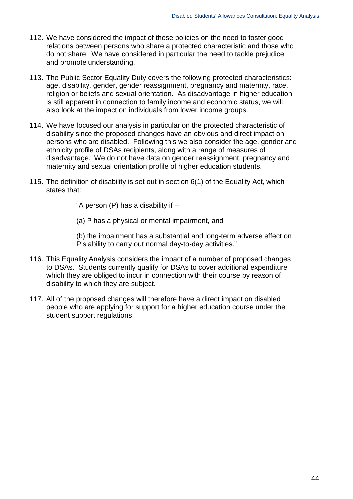- 112. We have considered the impact of these policies on the need to foster good relations between persons who share a protected characteristic and those who do not share. We have considered in particular the need to tackle prejudice and promote understanding.
- 113. The Public Sector Equality Duty covers the following protected characteristics: age, disability, gender, gender reassignment, pregnancy and maternity, race, religion or beliefs and sexual orientation. As disadvantage in higher education is still apparent in connection to family income and economic status, we will also look at the impact on individuals from lower income groups.
- 114. We have focused our analysis in particular on the protected characteristic of disability since the proposed changes have an obvious and direct impact on persons who are disabled. Following this we also consider the age, gender and ethnicity profile of DSAs recipients, along with a range of measures of disadvantage. We do not have data on gender reassignment, pregnancy and maternity and sexual orientation profile of higher education students.
- 115. The definition of disability is set out in section 6(1) of the Equality Act, which states that:

"A person  $(P)$  has a disability if  $-$ 

(a) P has a physical or mental impairment, and

(b) the impairment has a substantial and long-term adverse effect on P's ability to carry out normal day-to-day activities."

- 116. This Equality Analysis considers the impact of a number of proposed changes to DSAs. Students currently qualify for DSAs to cover additional expenditure which they are obliged to incur in connection with their course by reason of disability to which they are subject.
- 117. All of the proposed changes will therefore have a direct impact on disabled people who are applying for support for a higher education course under the student support regulations.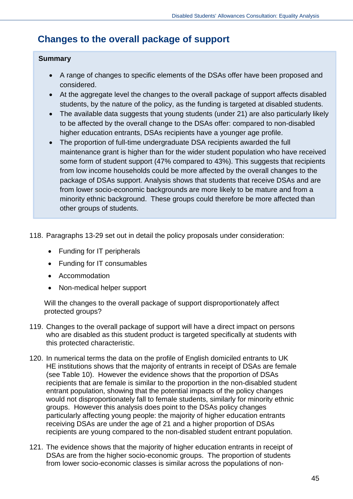## **Changes to the overall package of support**

### **Summary**

- A range of changes to specific elements of the DSAs offer have been proposed and considered.
- At the aggregate level the changes to the overall package of support affects disabled students, by the nature of the policy, as the funding is targeted at disabled students.
- The available data suggests that young students (under 21) are also particularly likely to be affected by the overall change to the DSAs offer: compared to non-disabled higher education entrants, DSAs recipients have a younger age profile.
- The proportion of full-time undergraduate DSA recipients awarded the full maintenance grant is higher than for the wider student population who have received some form of student support (47% compared to 43%). This suggests that recipients from low income households could be more affected by the overall changes to the package of DSAs support. Analysis shows that students that receive DSAs and are from lower socio-economic backgrounds are more likely to be mature and from a minority ethnic background. These groups could therefore be more affected than other groups of students.
- 118. Paragraphs 13-29 set out in detail the policy proposals under consideration:
	- Funding for IT peripherals
	- Funding for IT consumables
	- Accommodation
	- Non-medical helper support

Will the changes to the overall package of support disproportionately affect protected groups?

- 119. Changes to the overall package of support will have a direct impact on persons who are disabled as this student product is targeted specifically at students with this protected characteristic.
- 120. In numerical terms the data on the profile of English domiciled entrants to UK HE institutions shows that the majority of entrants in receipt of DSAs are female (see Table 10). However the evidence shows that the proportion of DSAs recipients that are female is similar to the proportion in the non-disabled student entrant population, showing that the potential impacts of the policy changes would not disproportionately fall to female students, similarly for minority ethnic groups. However this analysis does point to the DSAs policy changes particularly affecting young people: the majority of higher education entrants receiving DSAs are under the age of 21 and a higher proportion of DSAs recipients are young compared to the non-disabled student entrant population.
- 121. The evidence shows that the majority of higher education entrants in receipt of DSAs are from the higher socio-economic groups. The proportion of students from lower socio-economic classes is similar across the populations of non-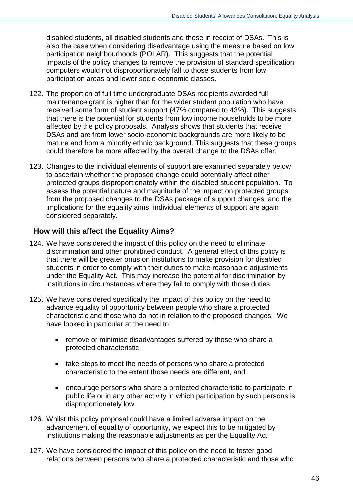disabled students, all disabled students and those in receipt of DSAs. This is also the case when considering disadvantage using the measure based on low participation neighbourhoods (POLAR). This suggests that the potential impacts of the policy changes to remove the provision of standard specification computers would not disproportionately fall to those students from low participation areas and lower socio-economic classes.

- 122. The proportion of full time undergraduate DSAs recipients awarded full maintenance grant is higher than for the wider student population who have received some form of student support (47% compared to 43%). This suggests that there is the potential for students from low income households to be more affected by the policy proposals. Analysis shows that students that receive DSAs and are from lower socio-economic backgrounds are more likely to be mature and from a minority ethnic background. This suggests that these groups could therefore be more affected by the overall change to the DSAs offer.
- 123. Changes to the individual elements of support are examined separately below to ascertain whether the proposed change could potentially affect other protected groups disproportionately within the disabled student population. To assess the potential nature and magnitude of the impact on protected groups from the proposed changes to the DSAs package of support changes, and the implications for the equality aims, individual elements of support are again considered separately.

## **How will this affect the Equality Aims?**

- 124. We have considered the impact of this policy on the need to eliminate discrimination and other prohibited conduct. A general effect of this policy is that there will be greater onus on institutions to make provision for disabled students in order to comply with their duties to make reasonable adjustments under the Equality Act. This may increase the potential for discrimination by institutions in circumstances where they fail to comply with those duties.
- 125. We have considered specifically the impact of this policy on the need to advance equality of opportunity between people who share a protected characteristic and those who do not in relation to the proposed changes. We have looked in particular at the need to:
	- remove or minimise disadvantages suffered by those who share a protected characteristic,
	- take steps to meet the needs of persons who share a protected characteristic to the extent those needs are different, and
	- encourage persons who share a protected characteristic to participate in public life or in any other activity in which participation by such persons is disproportionately low.
- 126. Whilst this policy proposal could have a limited adverse impact on the advancement of equality of opportunity, we expect this to be mitigated by institutions making the reasonable adjustments as per the Equality Act.
- 127. We have considered the impact of this policy on the need to foster good relations between persons who share a protected characteristic and those who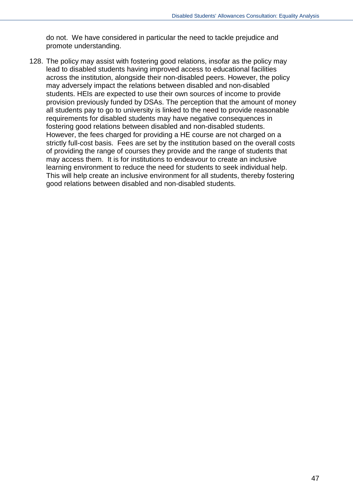do not. We have considered in particular the need to tackle prejudice and promote understanding.

128. The policy may assist with fostering good relations, insofar as the policy may lead to disabled students having improved access to educational facilities across the institution, alongside their non-disabled peers. However, the policy may adversely impact the relations between disabled and non-disabled students. HEIs are expected to use their own sources of income to provide provision previously funded by DSAs. The perception that the amount of money all students pay to go to university is linked to the need to provide reasonable requirements for disabled students may have negative consequences in fostering good relations between disabled and non-disabled students. However, the fees charged for providing a HE course are not charged on a strictly full-cost basis. Fees are set by the institution based on the overall costs of providing the range of courses they provide and the range of students that may access them. It is for institutions to endeavour to create an inclusive learning environment to reduce the need for students to seek individual help. This will help create an inclusive environment for all students, thereby fostering good relations between disabled and non-disabled students.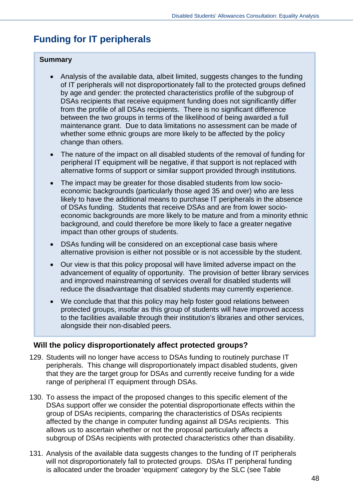## **Funding for IT peripherals**

#### **Summary**

- Analysis of the available data, albeit limited, suggests changes to the funding of IT peripherals will not disproportionately fall to the protected groups defined by age and gender: the protected characteristics profile of the subgroup of DSAs recipients that receive equipment funding does not significantly differ from the profile of all DSAs recipients. There is no significant difference between the two groups in terms of the likelihood of being awarded a full maintenance grant. Due to data limitations no assessment can be made of whether some ethnic groups are more likely to be affected by the policy change than others.
- The nature of the impact on all disabled students of the removal of funding for peripheral IT equipment will be negative, if that support is not replaced with alternative forms of support or similar support provided through institutions.
- The impact may be greater for those disabled students from low socioeconomic backgrounds (particularly those aged 35 and over) who are less likely to have the additional means to purchase IT peripherals in the absence of DSAs funding. Students that receive DSAs and are from lower socioeconomic backgrounds are more likely to be mature and from a minority ethnic background, and could therefore be more likely to face a greater negative impact than other groups of students.
- DSAs funding will be considered on an exceptional case basis where alternative provision is either not possible or is not accessible by the student.
- Our view is that this policy proposal will have limited adverse impact on the advancement of equality of opportunity. The provision of better library services and improved mainstreaming of services overall for disabled students will reduce the disadvantage that disabled students may currently experience.
- We conclude that that this policy may help foster good relations between protected groups, insofar as this group of students will have improved access to the facilities available through their institution's libraries and other services, alongside their non-disabled peers.

## **Will the policy disproportionately affect protected groups?**

- 129. Students will no longer have access to DSAs funding to routinely purchase IT peripherals. This change will disproportionately impact disabled students, given that they are the target group for DSAs and currently receive funding for a wide range of peripheral IT equipment through DSAs.
- 130. To assess the impact of the proposed changes to this specific element of the DSAs support offer we consider the potential disproportionate effects within the group of DSAs recipients, comparing the characteristics of DSAs recipients affected by the change in computer funding against all DSAs recipients. This allows us to ascertain whether or not the proposal particularly affects a subgroup of DSAs recipients with protected characteristics other than disability.
- 131. Analysis of the available data suggests changes to the funding of IT peripherals will not disproportionately fall to protected groups. DSAs IT peripheral funding is allocated under the broader 'equipment' category by the SLC (see Table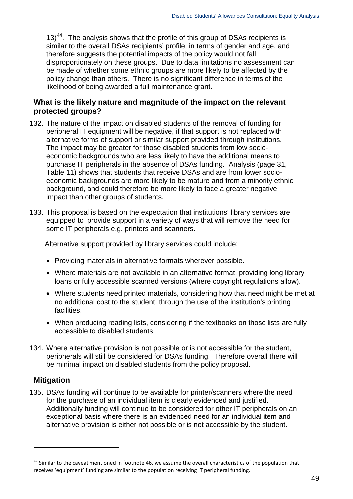13)<sup>44</sup>. The analysis shows that the profile of this group of DSAs recipients is similar to the overall DSAs recipients' profile, in terms of gender and age, and therefore suggests the potential impacts of the policy would not fall disproportionately on these groups. Due to data limitations no assessment can be made of whether some ethnic groups are more likely to be affected by the policy change than others. There is no significant difference in terms of the likelihood of being awarded a full maintenance grant.

## **What is the likely nature and magnitude of the impact on the relevant protected groups?**

- 132. The nature of the impact on disabled students of the removal of funding for peripheral IT equipment will be negative, if that support is not replaced with alternative forms of support or similar support provided through institutions. The impact may be greater for those disabled students from low socioeconomic backgrounds who are less likely to have the additional means to purchase IT peripherals in the absence of DSAs funding. Analysis (page 31, Table 11) shows that students that receive DSAs and are from lower socioeconomic backgrounds are more likely to be mature and from a minority ethnic background, and could therefore be more likely to face a greater negative impact than other groups of students.
- 133. This proposal is based on the expectation that institutions' library services are equipped to provide support in a variety of ways that will remove the need for some IT peripherals e.g. printers and scanners.

Alternative support provided by library services could include:

- Providing materials in alternative formats wherever possible.
- Where materials are not available in an alternative format, providing long library loans or fully accessible scanned versions (where copyright regulations allow).
- Where students need printed materials, considering how that need might be met at no additional cost to the student, through the use of the institution's printing facilities.
- When producing reading lists, considering if the textbooks on those lists are fully accessible to disabled students.
- 134. Where alternative provision is not possible or is not accessible for the student, peripherals will still be considered for DSAs funding. Therefore overall there will be minimal impact on disabled students from the policy proposal.

## **Mitigation**

-

135. DSAs funding will continue to be available for printer/scanners where the need for the purchase of an individual item is clearly evidenced and justified. Additionally funding will continue to be considered for other IT peripherals on an exceptional basis where there is an evidenced need for an individual item and alternative provision is either not possible or is not accessible by the student.

<span id="page-48-0"></span> $44$  Similar to the caveat mentioned in footnote 46, we assume the overall characteristics of the population that receives 'equipment' funding are similar to the population receiving IT peripheral funding.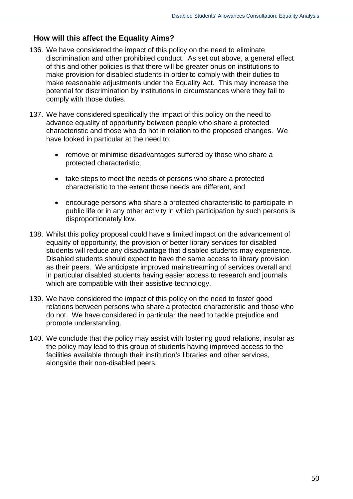## **How will this affect the Equality Aims?**

- 136. We have considered the impact of this policy on the need to eliminate discrimination and other prohibited conduct. As set out above, a general effect of this and other policies is that there will be greater onus on institutions to make provision for disabled students in order to comply with their duties to make reasonable adjustments under the Equality Act. This may increase the potential for discrimination by institutions in circumstances where they fail to comply with those duties.
- 137. We have considered specifically the impact of this policy on the need to advance equality of opportunity between people who share a protected characteristic and those who do not in relation to the proposed changes. We have looked in particular at the need to:
	- remove or minimise disadvantages suffered by those who share a protected characteristic,
	- take steps to meet the needs of persons who share a protected characteristic to the extent those needs are different, and
	- encourage persons who share a protected characteristic to participate in public life or in any other activity in which participation by such persons is disproportionately low.
- 138. Whilst this policy proposal could have a limited impact on the advancement of equality of opportunity, the provision of better library services for disabled students will reduce any disadvantage that disabled students may experience. Disabled students should expect to have the same access to library provision as their peers. We anticipate improved mainstreaming of services overall and in particular disabled students having easier access to research and journals which are compatible with their assistive technology.
- 139. We have considered the impact of this policy on the need to foster good relations between persons who share a protected characteristic and those who do not. We have considered in particular the need to tackle prejudice and promote understanding.
- 140. We conclude that the policy may assist with fostering good relations, insofar as the policy may lead to this group of students having improved access to the facilities available through their institution's libraries and other services, alongside their non-disabled peers.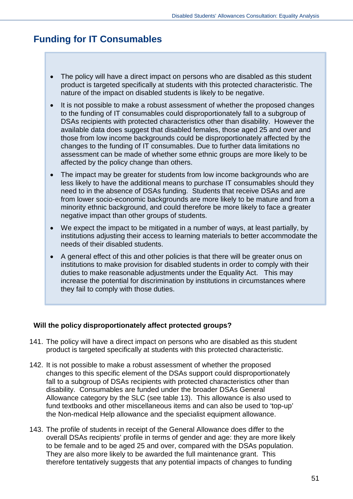## **Funding for IT Consumables**

- The policy will have a direct impact on persons who are disabled as this student product is targeted specifically at students with this protected characteristic. The nature of the impact on disabled students is likely to be negative.
- It is not possible to make a robust assessment of whether the proposed changes to the funding of IT consumables could disproportionately fall to a subgroup of DSAs recipients with protected characteristics other than disability. However the available data does suggest that disabled females, those aged 25 and over and those from low income backgrounds could be disproportionately affected by the changes to the funding of IT consumables. Due to further data limitations no assessment can be made of whether some ethnic groups are more likely to be affected by the policy change than others.
- The impact may be greater for students from low income backgrounds who are less likely to have the additional means to purchase IT consumables should they need to in the absence of DSAs funding. Students that receive DSAs and are from lower socio-economic backgrounds are more likely to be mature and from a minority ethnic background, and could therefore be more likely to face a greater negative impact than other groups of students.
- We expect the impact to be mitigated in a number of ways, at least partially, by institutions adjusting their access to learning materials to better accommodate the needs of their disabled students.
- A general effect of this and other policies is that there will be greater onus on institutions to make provision for disabled students in order to comply with their duties to make reasonable adjustments under the Equality Act. This may increase the potential for discrimination by institutions in circumstances where they fail to comply with those duties.

## **Will the policy disproportionately affect protected groups?**

- 141. The policy will have a direct impact on persons who are disabled as this student product is targeted specifically at students with this protected characteristic.
- 142. It is not possible to make a robust assessment of whether the proposed changes to this specific element of the DSAs support could disproportionately fall to a subgroup of DSAs recipients with protected characteristics other than disability. Consumables are funded under the broader DSAs General Allowance category by the SLC (see table 13). This allowance is also used to fund textbooks and other miscellaneous items and can also be used to 'top-up' the Non-medical Help allowance and the specialist equipment allowance.
- 143. The profile of students in receipt of the General Allowance does differ to the overall DSAs recipients' profile in terms of gender and age: they are more likely to be female and to be aged 25 and over, compared with the DSAs population. They are also more likely to be awarded the full maintenance grant. This therefore tentatively suggests that any potential impacts of changes to funding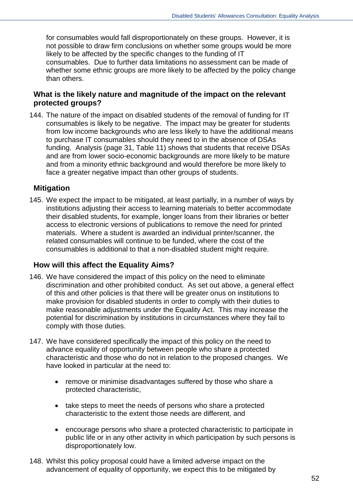for consumables would fall disproportionately on these groups. However, it is not possible to draw firm conclusions on whether some groups would be more likely to be affected by the specific changes to the funding of IT consumables. Due to further data limitations no assessment can be made of whether some ethnic groups are more likely to be affected by the policy change than others.

## **What is the likely nature and magnitude of the impact on the relevant protected groups?**

144. The nature of the impact on disabled students of the removal of funding for IT consumables is likely to be negative. The impact may be greater for students from low income backgrounds who are less likely to have the additional means to purchase IT consumables should they need to in the absence of DSAs funding. Analysis (page 31, Table 11) shows that students that receive DSAs and are from lower socio-economic backgrounds are more likely to be mature and from a minority ethnic background and would therefore be more likely to face a greater negative impact than other groups of students.

### **Mitigation**

145. We expect the impact to be mitigated, at least partially, in a number of ways by institutions adjusting their access to learning materials to better accommodate their disabled students, for example, longer loans from their libraries or better access to electronic versions of publications to remove the need for printed materials. Where a student is awarded an individual printer/scanner, the related consumables will continue to be funded, where the cost of the consumables is additional to that a non-disabled student might require.

### **How will this affect the Equality Aims?**

- 146. We have considered the impact of this policy on the need to eliminate discrimination and other prohibited conduct. As set out above, a general effect of this and other policies is that there will be greater onus on institutions to make provision for disabled students in order to comply with their duties to make reasonable adjustments under the Equality Act. This may increase the potential for discrimination by institutions in circumstances where they fail to comply with those duties.
- 147. We have considered specifically the impact of this policy on the need to advance equality of opportunity between people who share a protected characteristic and those who do not in relation to the proposed changes. We have looked in particular at the need to:
	- remove or minimise disadvantages suffered by those who share a protected characteristic,
	- take steps to meet the needs of persons who share a protected characteristic to the extent those needs are different, and
	- encourage persons who share a protected characteristic to participate in public life or in any other activity in which participation by such persons is disproportionately low.
- 148. Whilst this policy proposal could have a limited adverse impact on the advancement of equality of opportunity, we expect this to be mitigated by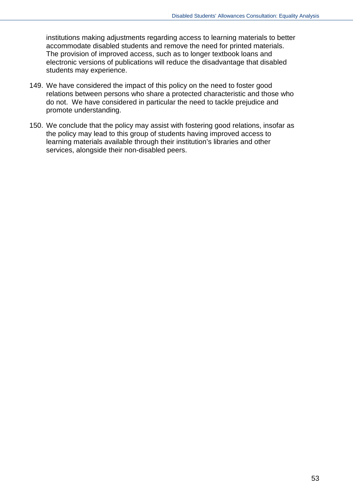institutions making adjustments regarding access to learning materials to better accommodate disabled students and remove the need for printed materials. The provision of improved access, such as to longer textbook loans and electronic versions of publications will reduce the disadvantage that disabled students may experience.

- 149. We have considered the impact of this policy on the need to foster good relations between persons who share a protected characteristic and those who do not. We have considered in particular the need to tackle prejudice and promote understanding.
- 150. We conclude that the policy may assist with fostering good relations, insofar as the policy may lead to this group of students having improved access to learning materials available through their institution's libraries and other services, alongside their non-disabled peers.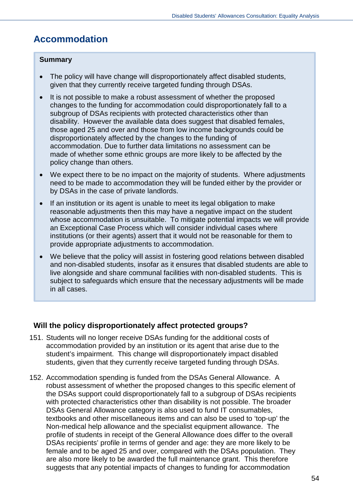## **Accommodation**

## **Summary**

- The policy will have change will disproportionately affect disabled students, given that they currently receive targeted funding through DSAs.
- It is not possible to make a robust assessment of whether the proposed changes to the funding for accommodation could disproportionately fall to a subgroup of DSAs recipients with protected characteristics other than disability. However the available data does suggest that disabled females, those aged 25 and over and those from low income backgrounds could be disproportionately affected by the changes to the funding of accommodation. Due to further data limitations no assessment can be made of whether some ethnic groups are more likely to be affected by the policy change than others.
- We expect there to be no impact on the majority of students. Where adjustments need to be made to accommodation they will be funded either by the provider or by DSAs in the case of private landlords.
- If an institution or its agent is unable to meet its legal obligation to make reasonable adjustments then this may have a negative impact on the student whose accommodation is unsuitable. To mitigate potential impacts we will provide an Exceptional Case Process which will consider individual cases where institutions (or their agents) assert that it would not be reasonable for them to provide appropriate adjustments to accommodation.
- We believe that the policy will assist in fostering good relations between disabled and non-disabled students, insofar as it ensures that disabled students are able to live alongside and share communal facilities with non-disabled students. This is subject to safeguards which ensure that the necessary adjustments will be made in all cases.

## **Will the policy disproportionately affect protected groups?**

- 151. Students will no longer receive DSAs funding for the additional costs of accommodation provided by an institution or its agent that arise due to the student's impairment. This change will disproportionately impact disabled students, given that they currently receive targeted funding through DSAs.
- 152. Accommodation spending is funded from the DSAs General Allowance. A robust assessment of whether the proposed changes to this specific element of the DSAs support could disproportionately fall to a subgroup of DSAs recipients with protected characteristics other than disability is not possible. The broader DSAs General Allowance category is also used to fund IT consumables, textbooks and other miscellaneous items and can also be used to 'top-up' the Non-medical help allowance and the specialist equipment allowance. The profile of students in receipt of the General Allowance does differ to the overall DSAs recipients' profile in terms of gender and age: they are more likely to be female and to be aged 25 and over, compared with the DSAs population. They are also more likely to be awarded the full maintenance grant. This therefore suggests that any potential impacts of changes to funding for accommodation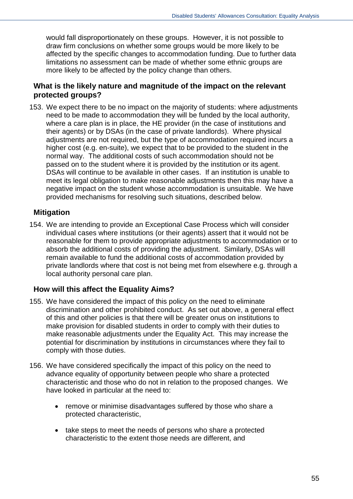would fall disproportionately on these groups. However, it is not possible to draw firm conclusions on whether some groups would be more likely to be affected by the specific changes to accommodation funding. Due to further data limitations no assessment can be made of whether some ethnic groups are more likely to be affected by the policy change than others.

## **What is the likely nature and magnitude of the impact on the relevant protected groups?**

153. We expect there to be no impact on the majority of students: where adjustments need to be made to accommodation they will be funded by the local authority, where a care plan is in place, the HE provider (in the case of institutions and their agents) or by DSAs (in the case of private landlords). Where physical adjustments are not required, but the type of accommodation required incurs a higher cost (e.g. en-suite), we expect that to be provided to the student in the normal way. The additional costs of such accommodation should not be passed on to the student where it is provided by the institution or its agent. DSAs will continue to be available in other cases. If an institution is unable to meet its legal obligation to make reasonable adjustments then this may have a negative impact on the student whose accommodation is unsuitable. We have provided mechanisms for resolving such situations, described below.

## **Mitigation**

154. We are intending to provide an Exceptional Case Process which will consider individual cases where institutions (or their agents) assert that it would not be reasonable for them to provide appropriate adjustments to accommodation or to absorb the additional costs of providing the adjustment. Similarly, DSAs will remain available to fund the additional costs of accommodation provided by private landlords where that cost is not being met from elsewhere e.g. through a local authority personal care plan.

## **How will this affect the Equality Aims?**

- 155. We have considered the impact of this policy on the need to eliminate discrimination and other prohibited conduct. As set out above, a general effect of this and other policies is that there will be greater onus on institutions to make provision for disabled students in order to comply with their duties to make reasonable adjustments under the Equality Act. This may increase the potential for discrimination by institutions in circumstances where they fail to comply with those duties.
- 156. We have considered specifically the impact of this policy on the need to advance equality of opportunity between people who share a protected characteristic and those who do not in relation to the proposed changes. We have looked in particular at the need to:
	- remove or minimise disadvantages suffered by those who share a protected characteristic,
	- take steps to meet the needs of persons who share a protected characteristic to the extent those needs are different, and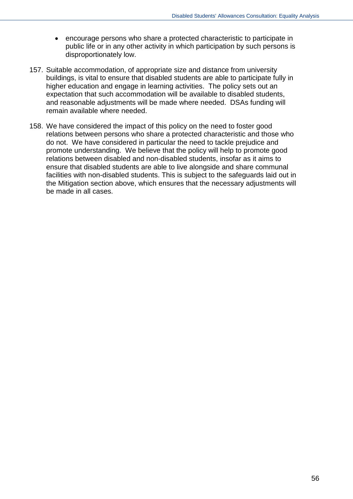- encourage persons who share a protected characteristic to participate in public life or in any other activity in which participation by such persons is disproportionately low.
- 157. Suitable accommodation, of appropriate size and distance from university buildings, is vital to ensure that disabled students are able to participate fully in higher education and engage in learning activities. The policy sets out an expectation that such accommodation will be available to disabled students, and reasonable adjustments will be made where needed. DSAs funding will remain available where needed.
- 158. We have considered the impact of this policy on the need to foster good relations between persons who share a protected characteristic and those who do not. We have considered in particular the need to tackle prejudice and promote understanding. We believe that the policy will help to promote good relations between disabled and non-disabled students, insofar as it aims to ensure that disabled students are able to live alongside and share communal facilities with non-disabled students. This is subject to the safeguards laid out in the Mitigation section above, which ensures that the necessary adjustments will be made in all cases.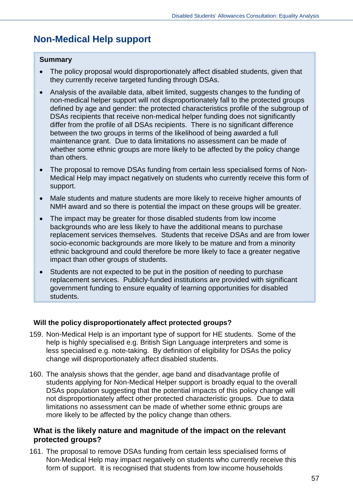## **Non-Medical Help support**

#### **Summary**

- The policy proposal would disproportionately affect disabled students, given that they currently receive targeted funding through DSAs.
- Analysis of the available data, albeit limited, suggests changes to the funding of non-medical helper support will not disproportionately fall to the protected groups defined by age and gender: the protected characteristics profile of the subgroup of DSAs recipients that receive non-medical helper funding does not significantly differ from the profile of all DSAs recipients. There is no significant difference between the two groups in terms of the likelihood of being awarded a full maintenance grant. Due to data limitations no assessment can be made of whether some ethnic groups are more likely to be affected by the policy change than others.
- The proposal to remove DSAs funding from certain less specialised forms of Non-Medical Help may impact negatively on students who currently receive this form of support.
- Male students and mature students are more likely to receive higher amounts of NMH award and so there is potential the impact on these groups will be greater.
- The impact may be greater for those disabled students from low income backgrounds who are less likely to have the additional means to purchase replacement services themselves. Students that receive DSAs and are from lower socio-economic backgrounds are more likely to be mature and from a minority ethnic background and could therefore be more likely to face a greater negative impact than other groups of students.
- Students are not expected to be put in the position of needing to purchase replacement services. Publicly-funded institutions are provided with significant government funding to ensure equality of learning opportunities for disabled students.

#### **Will the policy disproportionately affect protected groups?** ľ

- 159. Non-Medical Help is an important type of support for HE students. Some of the help is highly specialised e.g. British Sign Language interpreters and some is less specialised e.g. note-taking. By definition of eligibility for DSAs the policy change will disproportionately affect disabled students.
- 160. The analysis shows that the gender, age band and disadvantage profile of students applying for Non-Medical Helper support is broadly equal to the overall DSAs population suggesting that the potential impacts of this policy change will not disproportionately affect other protected characteristic groups. Due to data limitations no assessment can be made of whether some ethnic groups are more likely to be affected by the policy change than others.

## **What is the likely nature and magnitude of the impact on the relevant protected groups?**

161. The proposal to remove DSAs funding from certain less specialised forms of Non-Medical Help may impact negatively on students who currently receive this form of support. It is recognised that students from low income households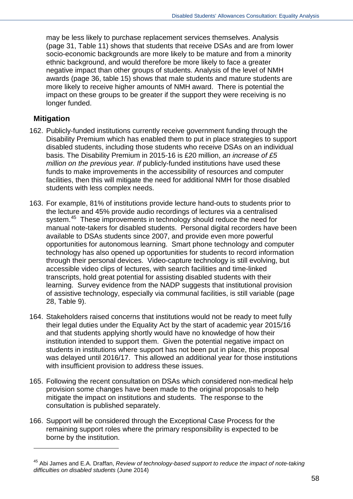may be less likely to purchase replacement services themselves. Analysis (page 31, Table 11) shows that students that receive DSAs and are from lower socio-economic backgrounds are more likely to be mature and from a minority ethnic background, and would therefore be more likely to face a greater negative impact than other groups of students. Analysis of the level of NMH awards (page 36, table 15) shows that male students and mature students are more likely to receive higher amounts of NMH award. There is potential the impact on these groups to be greater if the support they were receiving is no longer funded.

### **Mitigation**

-

- 162. Publicly-funded institutions currently receive government funding through the Disability Premium which has enabled them to put in place strategies to support disabled students, including those students who receive DSAs on an individual basis. The Disability Premium in 2015-16 is £20 million, *an increase of £5 million on the previous year. If* publicly-funded institutions have used these funds to make improvements in the accessibility of resources and computer facilities, then this will mitigate the need for additional NMH for those disabled students with less complex needs.
- 163. For example, 81% of institutions provide lecture hand-outs to students prior to the lecture and 45% provide audio recordings of lectures via a centralised system.<sup>45</sup> These improvements in technology should reduce the need for manual note-takers for disabled students. Personal digital recorders have been available to DSAs students since 2007, and provide even more powerful opportunities for autonomous learning. Smart phone technology and computer technology has also opened up opportunities for students to record information through their personal devices. Video-capture technology is still evolving, but accessible video clips of lectures, with search facilities and time-linked transcripts, hold great potential for assisting disabled students with their learning. Survey evidence from the NADP suggests that institutional provision of assistive technology, especially via communal facilities, is still variable (page 28, Table 9).
- 164. Stakeholders raised concerns that institutions would not be ready to meet fully their legal duties under the Equality Act by the start of academic year 2015/16 and that students applying shortly would have no knowledge of how their institution intended to support them. Given the potential negative impact on students in institutions where support has not been put in place, this proposal was delayed until 2016/17. This allowed an additional year for those institutions with insufficient provision to address these issues.
- 165. Following the recent consultation on DSAs which considered non-medical help provision some changes have been made to the original proposals to help mitigate the impact on institutions and students. The response to the consultation is published separately.
- 166. Support will be considered through the Exceptional Case Process for the remaining support roles where the primary responsibility is expected to be borne by the institution.

<span id="page-57-0"></span><sup>45</sup> Abi James and E.A. Draffan, *Review of technology-based support to reduce the impact of note-taking difficulties on disabled students* (June 2014)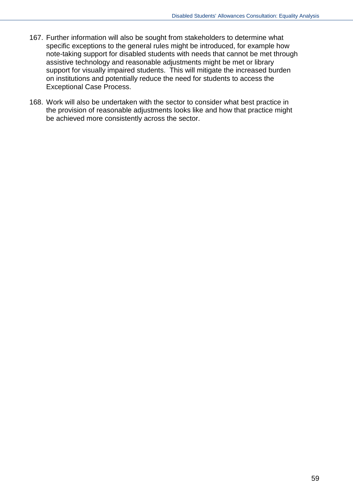- 167. Further information will also be sought from stakeholders to determine what specific exceptions to the general rules might be introduced, for example how note-taking support for disabled students with needs that cannot be met through assistive technology and reasonable adjustments might be met or library support for visually impaired students. This will mitigate the increased burden on institutions and potentially reduce the need for students to access the Exceptional Case Process.
- 168. Work will also be undertaken with the sector to consider what best practice in the provision of reasonable adjustments looks like and how that practice might be achieved more consistently across the sector.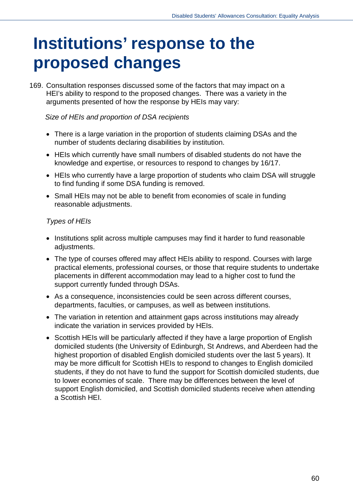## **Institutions' response to the proposed changes**

169. Consultation responses discussed some of the factors that may impact on a HEI's ability to respond to the proposed changes. There was a variety in the arguments presented of how the response by HEIs may vary:

## *Size of HEIs and proportion of DSA recipients*

- There is a large variation in the proportion of students claiming DSAs and the number of students declaring disabilities by institution.
- HEIs which currently have small numbers of disabled students do not have the knowledge and expertise, or resources to respond to changes by 16/17.
- HEIs who currently have a large proportion of students who claim DSA will struggle to find funding if some DSA funding is removed.
- Small HEIs may not be able to benefit from economies of scale in funding reasonable adjustments.

## *Types of HEIs*

- Institutions split across multiple campuses may find it harder to fund reasonable adjustments.
- The type of courses offered may affect HEIs ability to respond. Courses with large practical elements, professional courses, or those that require students to undertake placements in different accommodation may lead to a higher cost to fund the support currently funded through DSAs.
- As a consequence, inconsistencies could be seen across different courses, departments, faculties, or campuses, as well as between institutions.
- The variation in retention and attainment gaps across institutions may already indicate the variation in services provided by HEIs.
- Scottish HEIs will be particularly affected if they have a large proportion of English domiciled students (the University of Edinburgh, St Andrews, and Aberdeen had the highest proportion of disabled English domiciled students over the last 5 years). It may be more difficult for Scottish HEIs to respond to changes to English domiciled students, if they do not have to fund the support for Scottish domiciled students, due to lower economies of scale. There may be differences between the level of support English domiciled, and Scottish domiciled students receive when attending a Scottish HEI.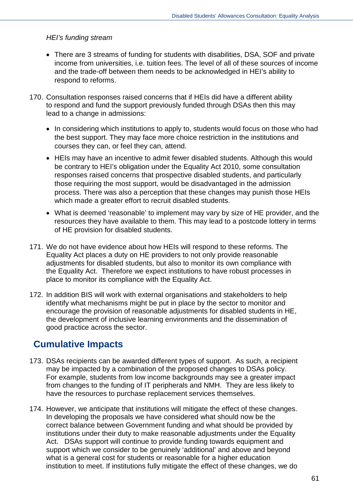#### *HEI's funding stream*

- There are 3 streams of funding for students with disabilities, DSA, SOF and private income from universities, i.e. tuition fees. The level of all of these sources of income and the trade-off between them needs to be acknowledged in HEI's ability to respond to reforms.
- 170. Consultation responses raised concerns that if HEIs did have a different ability to respond and fund the support previously funded through DSAs then this may lead to a change in admissions:
	- In considering which institutions to apply to, students would focus on those who had the best support. They may face more choice restriction in the institutions and courses they can, or feel they can, attend.
	- HEIs may have an incentive to admit fewer disabled students. Although this would be contrary to HEI's obligation under the Equality Act 2010, some consultation responses raised concerns that prospective disabled students, and particularly those requiring the most support, would be disadvantaged in the admission process. There was also a perception that these changes may punish those HEIs which made a greater effort to recruit disabled students.
	- What is deemed 'reasonable' to implement may vary by size of HE provider, and the resources they have available to them. This may lead to a postcode lottery in terms of HE provision for disabled students.
- 171. We do not have evidence about how HEIs will respond to these reforms. The Equality Act places a duty on HE providers to not only provide reasonable adjustments for disabled students, but also to monitor its own compliance with the Equality Act. Therefore we expect institutions to have robust processes in place to monitor its compliance with the Equality Act.
- 172. In addition BIS will work with external organisations and stakeholders to help identify what mechanisms might be put in place by the sector to monitor and encourage the provision of reasonable adjustments for disabled students in HE, the development of inclusive learning environments and the dissemination of good practice across the sector.

## **Cumulative Impacts**

- 173. DSAs recipients can be awarded different types of support. As such, a recipient may be impacted by a combination of the proposed changes to DSAs policy. For example, students from low income backgrounds may see a greater impact from changes to the funding of IT peripherals and NMH. They are less likely to have the resources to purchase replacement services themselves.
- 174. However, we anticipate that institutions will mitigate the effect of these changes. In developing the proposals we have considered what should now be the correct balance between Government funding and what should be provided by institutions under their duty to make reasonable adjustments under the Equality Act. DSAs support will continue to provide funding towards equipment and support which we consider to be genuinely 'additional' and above and beyond what is a general cost for students or reasonable for a higher education institution to meet. If institutions fully mitigate the effect of these changes, we do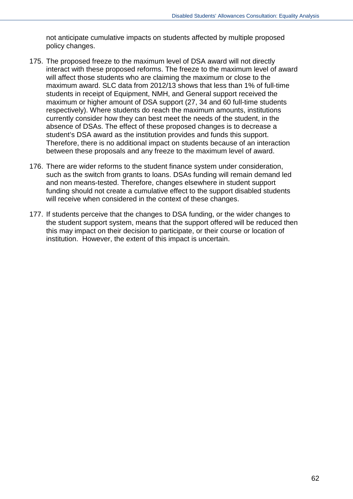not anticipate cumulative impacts on students affected by multiple proposed policy changes.

- 175. The proposed freeze to the maximum level of DSA award will not directly interact with these proposed reforms. The freeze to the maximum level of award will affect those students who are claiming the maximum or close to the maximum award. SLC data from 2012/13 shows that less than 1% of full-time students in receipt of Equipment, NMH, and General support received the maximum or higher amount of DSA support (27, 34 and 60 full-time students respectively). Where students do reach the maximum amounts, institutions currently consider how they can best meet the needs of the student, in the absence of DSAs. The effect of these proposed changes is to decrease a student's DSA award as the institution provides and funds this support. Therefore, there is no additional impact on students because of an interaction between these proposals and any freeze to the maximum level of award.
- 176. There are wider reforms to the student finance system under consideration, such as the switch from grants to loans. DSAs funding will remain demand led and non means-tested. Therefore, changes elsewhere in student support funding should not create a cumulative effect to the support disabled students will receive when considered in the context of these changes.
- 177. If students perceive that the changes to DSA funding, or the wider changes to the student support system, means that the support offered will be reduced then this may impact on their decision to participate, or their course or location of institution. However, the extent of this impact is uncertain.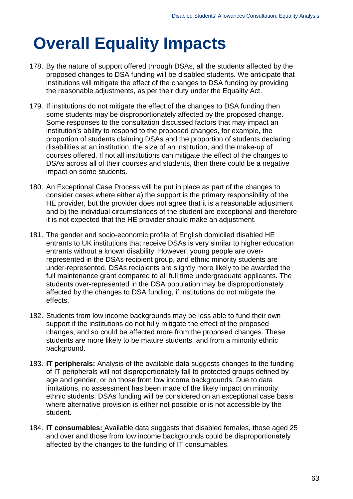# **Overall Equality Impacts**

- 178. By the nature of support offered through DSAs, all the students affected by the proposed changes to DSA funding will be disabled students. We anticipate that institutions will mitigate the effect of the changes to DSA funding by providing the reasonable adjustments, as per their duty under the Equality Act.
- 179. If institutions do not mitigate the effect of the changes to DSA funding then some students may be disproportionately affected by the proposed change. Some responses to the consultation discussed factors that may impact an institution's ability to respond to the proposed changes, for example, the proportion of students claiming DSAs and the proportion of students declaring disabilities at an institution, the size of an institution, and the make-up of courses offered. If not all institutions can mitigate the effect of the changes to DSAs across all of their courses and students, then there could be a negative impact on some students.
- 180. An Exceptional Case Process will be put in place as part of the changes to consider cases where either a) the support is the primary responsibility of the HE provider, but the provider does not agree that it is a reasonable adjustment and b) the individual circumstances of the student are exceptional and therefore it is not expected that the HE provider should make an adjustment.
- 181. The gender and socio-economic profile of English domiciled disabled HE entrants to UK institutions that receive DSAs is very similar to higher education entrants without a known disability. However, young people are overrepresented in the DSAs recipient group, and ethnic minority students are under-represented. DSAs recipients are slightly more likely to be awarded the full maintenance grant compared to all full time undergraduate applicants. The students over-represented in the DSA population may be disproportionately affected by the changes to DSA funding, if institutions do not mitigate the effects.
- 182. Students from low income backgrounds may be less able to fund their own support if the institutions do not fully mitigate the effect of the proposed changes, and so could be affected more from the proposed changes. These students are more likely to be mature students, and from a minority ethnic background.
- 183. **IT peripherals:** Analysis of the available data suggests changes to the funding of IT peripherals will not disproportionately fall to protected groups defined by age and gender, or on those from low income backgrounds. Due to data limitations, no assessment has been made of the likely impact on minority ethnic students. DSAs funding will be considered on an exceptional case basis where alternative provision is either not possible or is not accessible by the student.
- 184. **IT consumables:** Available data suggests that disabled females, those aged 25 and over and those from low income backgrounds could be disproportionately affected by the changes to the funding of IT consumables.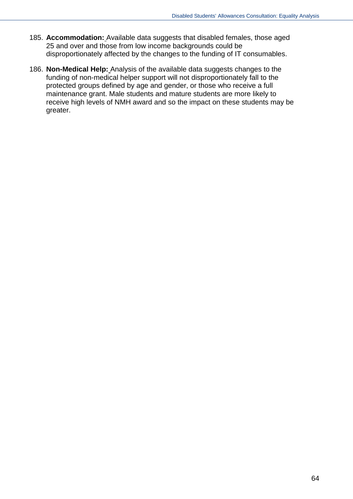- 185. **Accommodation:** Available data suggests that disabled females, those aged 25 and over and those from low income backgrounds could be disproportionately affected by the changes to the funding of IT consumables.
- 186. **Non-Medical Help:** Analysis of the available data suggests changes to the funding of non-medical helper support will not disproportionately fall to the protected groups defined by age and gender, or those who receive a full maintenance grant. Male students and mature students are more likely to receive high levels of NMH award and so the impact on these students may be greater.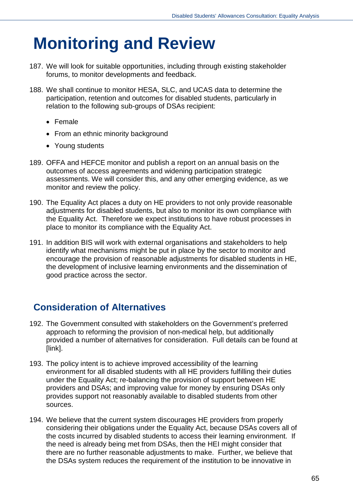## **Monitoring and Review**

- 187. We will look for suitable opportunities, including through existing stakeholder forums, to monitor developments and feedback.
- 188. We shall continue to monitor HESA, SLC, and UCAS data to determine the participation, retention and outcomes for disabled students, particularly in relation to the following sub-groups of DSAs recipient:
	- Female
	- From an ethnic minority background
	- Young students
- 189. OFFA and HEFCE monitor and publish a report on an annual basis on the outcomes of access agreements and widening participation strategic assessments. We will consider this, and any other emerging evidence, as we monitor and review the policy.
- 190. The Equality Act places a duty on HE providers to not only provide reasonable adjustments for disabled students, but also to monitor its own compliance with the Equality Act. Therefore we expect institutions to have robust processes in place to monitor its compliance with the Equality Act.
- 191. In addition BIS will work with external organisations and stakeholders to help identify what mechanisms might be put in place by the sector to monitor and encourage the provision of reasonable adjustments for disabled students in HE, the development of inclusive learning environments and the dissemination of good practice across the sector.

## **Consideration of Alternatives**

- 192. The Government consulted with stakeholders on the Government's preferred approach to reforming the provision of non-medical help, but additionally provided a number of alternatives for consideration. Full details can be found at [link].
- 193. The policy intent is to achieve improved accessibility of the learning environment for all disabled students with all HE providers fulfilling their duties under the Equality Act; re-balancing the provision of support between HE providers and DSAs; and improving value for money by ensuring DSAs only provides support not reasonably available to disabled students from other sources.
- 194. We believe that the current system discourages HE providers from properly considering their obligations under the Equality Act, because DSAs covers all of the costs incurred by disabled students to access their learning environment. If the need is already being met from DSAs, then the HEI might consider that there are no further reasonable adjustments to make. Further, we believe that the DSAs system reduces the requirement of the institution to be innovative in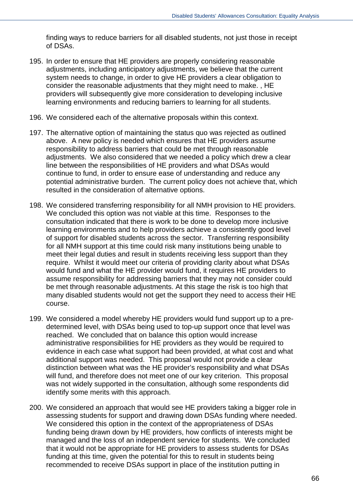finding ways to reduce barriers for all disabled students, not just those in receipt of DSAs.

- 195. In order to ensure that HE providers are properly considering reasonable adjustments, including anticipatory adjustments, we believe that the current system needs to change, in order to give HE providers a clear obligation to consider the reasonable adjustments that they might need to make. , HE providers will subsequently give more consideration to developing inclusive learning environments and reducing barriers to learning for all students.
- 196. We considered each of the alternative proposals within this context.
- 197. The alternative option of maintaining the status quo was rejected as outlined above. A new policy is needed which ensures that HE providers assume responsibility to address barriers that could be met through reasonable adjustments. We also considered that we needed a policy which drew a clear line between the responsibilities of HE providers and what DSAs would continue to fund, in order to ensure ease of understanding and reduce any potential administrative burden. The current policy does not achieve that, which resulted in the consideration of alternative options.
- 198. We considered transferring responsibility for all NMH provision to HE providers. We concluded this option was not viable at this time. Responses to the consultation indicated that there is work to be done to develop more inclusive learning environments and to help providers achieve a consistently good level of support for disabled students across the sector. Transferring responsibility for all NMH support at this time could risk many institutions being unable to meet their legal duties and result in students receiving less support than they require. Whilst it would meet our criteria of providing clarity about what DSAs would fund and what the HE provider would fund, it requires HE providers to assume responsibility for addressing barriers that they may not consider could be met through reasonable adjustments. At this stage the risk is too high that many disabled students would not get the support they need to access their HE course.
- 199. We considered a model whereby HE providers would fund support up to a predetermined level, with DSAs being used to top-up support once that level was reached. We concluded that on balance this option would increase administrative responsibilities for HE providers as they would be required to evidence in each case what support had been provided, at what cost and what additional support was needed. This proposal would not provide a clear distinction between what was the HE provider's responsibility and what DSAs will fund, and therefore does not meet one of our key criterion. This proposal was not widely supported in the consultation, although some respondents did identify some merits with this approach.
- 200. We considered an approach that would see HE providers taking a bigger role in assessing students for support and drawing down DSAs funding where needed. We considered this option in the context of the appropriateness of DSAs funding being drawn down by HE providers, how conflicts of interests might be managed and the loss of an independent service for students. We concluded that it would not be appropriate for HE providers to assess students for DSAs funding at this time, given the potential for this to result in students being recommended to receive DSAs support in place of the institution putting in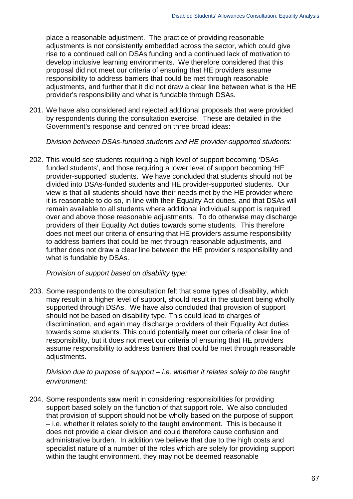place a reasonable adjustment. The practice of providing reasonable adjustments is not consistently embedded across the sector, which could give rise to a continued call on DSAs funding and a continued lack of motivation to develop inclusive learning environments. We therefore considered that this proposal did not meet our criteria of ensuring that HE providers assume responsibility to address barriers that could be met through reasonable adjustments, and further that it did not draw a clear line between what is the HE provider's responsibility and what is fundable through DSAs.

201. We have also considered and rejected additional proposals that were provided by respondents during the consultation exercise. These are detailed in the Government's response and centred on three broad ideas:

*Division between DSAs-funded students and HE provider-supported students:* 

202. This would see students requiring a high level of support becoming 'DSAsfunded students', and those requiring a lower level of support becoming 'HE provider-supported' students. We have concluded that students should not be divided into DSAs-funded students and HE provider-supported students. Our view is that all students should have their needs met by the HE provider where it is reasonable to do so, in line with their Equality Act duties, and that DSAs will remain available to all students where additional individual support is required over and above those reasonable adjustments. To do otherwise may discharge providers of their Equality Act duties towards some students. This therefore does not meet our criteria of ensuring that HE providers assume responsibility to address barriers that could be met through reasonable adjustments, and further does not draw a clear line between the HE provider's responsibility and what is fundable by DSAs.

*Provision of support based on disability type:*

203. Some respondents to the consultation felt that some types of disability, which may result in a higher level of support, should result in the student being wholly supported through DSAs. We have also concluded that provision of support should not be based on disability type. This could lead to charges of discrimination, and again may discharge providers of their Equality Act duties towards some students. This could potentially meet our criteria of clear line of responsibility, but it does not meet our criteria of ensuring that HE providers assume responsibility to address barriers that could be met through reasonable adjustments.

*Division due to purpose of support – i.e. whether it relates solely to the taught environment:*

204. Some respondents saw merit in considering responsibilities for providing support based solely on the function of that support role. We also concluded that provision of support should not be wholly based on the purpose of support – i.e. whether it relates solely to the taught environment. This is because it does not provide a clear division and could therefore cause confusion and administrative burden. In addition we believe that due to the high costs and specialist nature of a number of the roles which are solely for providing support within the taught environment, they may not be deemed reasonable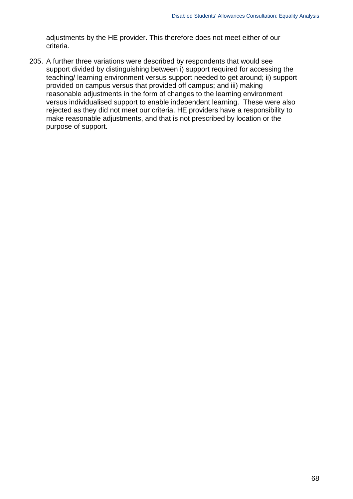adjustments by the HE provider. This therefore does not meet either of our criteria.

205. A further three variations were described by respondents that would see support divided by distinguishing between i) support required for accessing the teaching/ learning environment versus support needed to get around; ii) support provided on campus versus that provided off campus; and iii) making reasonable adjustments in the form of changes to the learning environment versus individualised support to enable independent learning. These were also rejected as they did not meet our criteria. HE providers have a responsibility to make reasonable adjustments, and that is not prescribed by location or the purpose of support.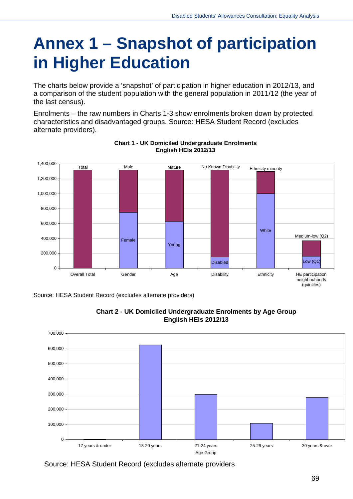# **Annex 1 – Snapshot of participation in Higher Education**

The charts below provide a 'snapshot' of participation in higher education in 2012/13, and a comparison of the student population with the general population in 2011/12 (the year of the last census).

Enrolments – the raw numbers in Charts 1-3 show enrolments broken down by protected characteristics and disadvantaged groups. Source: HESA Student Record (excludes alternate providers).



#### **Chart 1 - UK Domiciled Undergraduate Enrolments English HEIs 2012/13**

Source: HESA Student Record (excludes alternate providers)



**Chart 2 - UK Domiciled Undergraduate Enrolments by Age Group English HEIs 2012/13**

Source: HESA Student Record (excludes alternate providers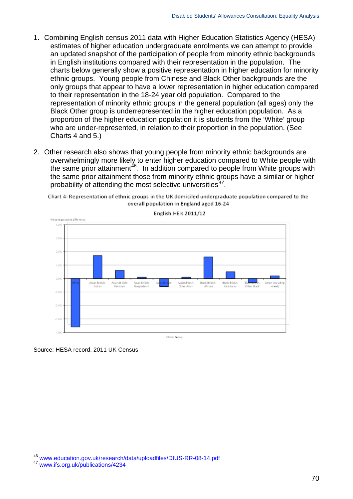- 1. Combining English census 2011 data with Higher Education Statistics Agency (HESA) estimates of higher education undergraduate enrolments we can attempt to provide an updated snapshot of the participation of people from minority ethnic backgrounds in English institutions compared with their representation in the population. The charts below generally show a positive representation in higher education for minority ethnic groups. Young people from Chinese and Black Other backgrounds are the only groups that appear to have a lower representation in higher education compared to their representation in the 18-24 year old population. Compared to the representation of minority ethnic groups in the general population (all ages) only the Black Other group is underrepresented in the higher education population. As a proportion of the higher education population it is students from the 'White' group who are under-represented, in relation to their proportion in the population. (See Charts 4 and 5.)
- 2. Other research also shows that young people from minority ethnic backgrounds are overwhelmingly more likely to enter higher education compared to White people with the same prior attainment<sup>[46](#page-69-0)</sup>. In addition compared to people from White groups with the same prior attainment those from minority ethnic groups have a similar or higher probability of attending the most selective universities*[47](#page-69-1)*.

English HEIs 2011/12 gentage point differ 4.09 3.05 2.03 1.04 0.04 .<br>Asian British Black Britis)<br>Caribbean Asian British Arian Britis (indudin  $(1)$ 3.04 2019 3.0 **Education Concerns** 

Chart 4: Representation of ethnic groups in the UK domiciled undergraduate population compared to the overall population in England aged 16-24

Source: HESA record, 2011 UK Census

-

<span id="page-69-0"></span>[www.education.gov.uk/research/data/uploadfiles/DIUS-RR-08-14.pdf](http://www.education.gov.uk/research/data/uploadfiles/DIUS-RR-08-14.pdf)<br>[www.ifs.org.uk/publications/4234](http://www.ifs.org.uk/publications/4234)

<span id="page-69-1"></span>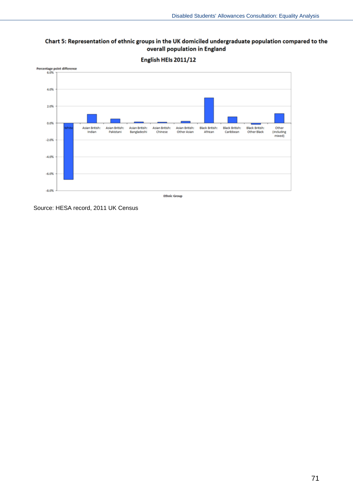#### Chart 5: Representation of ethnic groups in the UK domiciled undergraduate population compared to the overall population in England



Source: HESA record, 2011 UK Census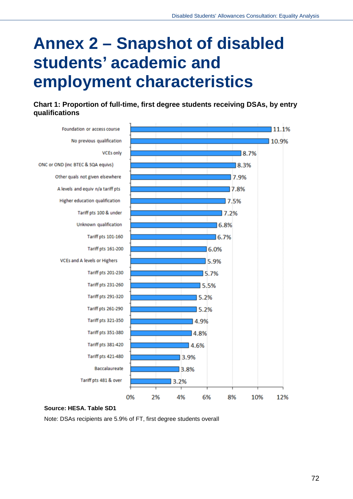## **Annex 2 – Snapshot of disabled students' academic and employment characteristics**

**Chart 1: Proportion of full-time, first degree students receiving DSAs, by entry qualifications**



#### **Source: HESA. Table SD1**

Note: DSAs recipients are 5.9% of FT, first degree students overall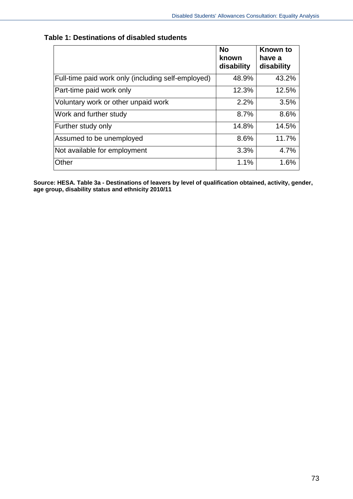|                                                    | <b>No</b><br>known<br>disability | Known to<br>have a<br>disability |
|----------------------------------------------------|----------------------------------|----------------------------------|
| Full-time paid work only (including self-employed) | 48.9%                            | 43.2%                            |
| Part-time paid work only                           | 12.3%                            | 12.5%                            |
| Voluntary work or other unpaid work                | 2.2%                             | 3.5%                             |
| Work and further study                             | 8.7%                             | 8.6%                             |
| Further study only                                 | 14.8%                            | 14.5%                            |
| Assumed to be unemployed                           | 8.6%                             | 11.7%                            |
| Not available for employment                       | 3.3%                             | 4.7%                             |
| Other                                              | 1.1%                             | 1.6%                             |

## **Table 1: Destinations of disabled students**

**Source: HESA. Table 3a - Destinations of leavers by level of qualification obtained, activity, gender, age group, disability status and ethnicity 2010/11**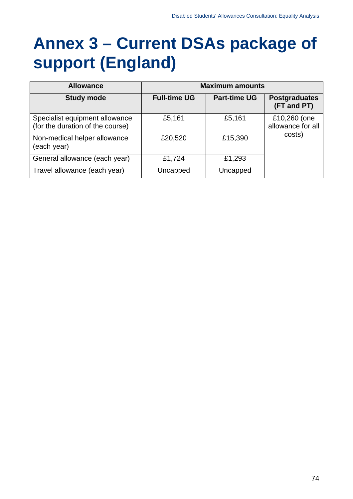# **Annex 3 – Current DSAs package of support (England)**

| <b>Allowance</b>                                                   | <b>Maximum amounts</b> |                     |                                             |
|--------------------------------------------------------------------|------------------------|---------------------|---------------------------------------------|
| <b>Study mode</b>                                                  | <b>Full-time UG</b>    | <b>Part-time UG</b> | <b>Postgraduates</b><br>(FT and PT)         |
| Specialist equipment allowance<br>(for the duration of the course) | £5,161                 | £5,161              | £10,260 (one<br>allowance for all<br>costs) |
| Non-medical helper allowance<br>(each year)                        | £20,520                | £15,390             |                                             |
| General allowance (each year)                                      | £1,724                 | £1,293              |                                             |
| Travel allowance (each year)                                       | Uncapped               | Uncapped            |                                             |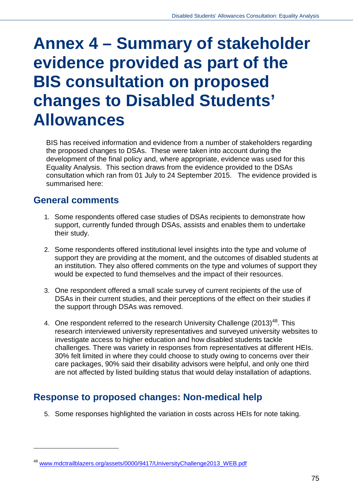# **Annex 4 – Summary of stakeholder evidence provided as part of the BIS consultation on proposed changes to Disabled Students' Allowances**

BIS has received information and evidence from a number of stakeholders regarding the proposed changes to DSAs. These were taken into account during the development of the final policy and, where appropriate, evidence was used for this Equality Analysis. This section draws from the evidence provided to the DSAs consultation which ran from 01 July to 24 September 2015. The evidence provided is summarised here:

## **General comments**

-

- 1. Some respondents offered case studies of DSAs recipients to demonstrate how support, currently funded through DSAs, assists and enables them to undertake their study.
- 2. Some respondents offered institutional level insights into the type and volume of support they are providing at the moment, and the outcomes of disabled students at an institution. They also offered comments on the type and volumes of support they would be expected to fund themselves and the impact of their resources.
- 3. One respondent offered a small scale survey of current recipients of the use of DSAs in their current studies, and their perceptions of the effect on their studies if the support through DSAs was removed.
- 4. One respondent referred to the research University Challenge (2013)<sup>[48](#page-74-0)</sup>. This research interviewed university representatives and surveyed university websites to investigate access to higher education and how disabled students tackle challenges. There was variety in responses from representatives at different HEIs. 30% felt limited in where they could choose to study owing to concerns over their care packages, 90% said their disability advisors were helpful, and only one third are not affected by listed building status that would delay installation of adaptions.

## **Response to proposed changes: Non-medical help**

5. Some responses highlighted the variation in costs across HEIs for note taking.

<span id="page-74-0"></span><sup>48</sup> [www.mdctrailblazers.org/assets/0000/9417/UniversityChallenge2013\\_WEB.pdf](http://www.mdctrailblazers.org/assets/0000/9417/UniversityChallenge2013_WEB.pdf)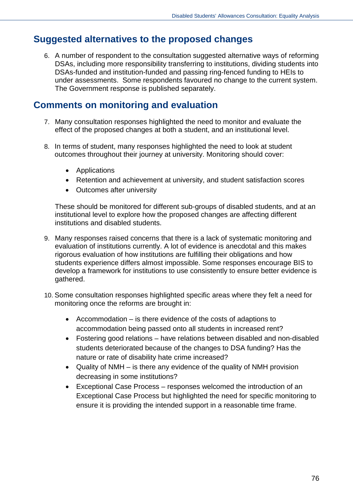## **Suggested alternatives to the proposed changes**

6. A number of respondent to the consultation suggested alternative ways of reforming DSAs, including more responsibility transferring to institutions, dividing students into DSAs-funded and institution-funded and passing ring-fenced funding to HEIs to under assessments. Some respondents favoured no change to the current system. The Government response is published separately.

## **Comments on monitoring and evaluation**

- 7. Many consultation responses highlighted the need to monitor and evaluate the effect of the proposed changes at both a student, and an institutional level.
- 8. In terms of student, many responses highlighted the need to look at student outcomes throughout their journey at university. Monitoring should cover:
	- Applications
	- Retention and achievement at university, and student satisfaction scores
	- Outcomes after university

These should be monitored for different sub-groups of disabled students, and at an institutional level to explore how the proposed changes are affecting different institutions and disabled students.

- 9. Many responses raised concerns that there is a lack of systematic monitoring and evaluation of institutions currently. A lot of evidence is anecdotal and this makes rigorous evaluation of how institutions are fulfilling their obligations and how students experience differs almost impossible. Some responses encourage BIS to develop a framework for institutions to use consistently to ensure better evidence is gathered.
- 10. Some consultation responses highlighted specific areas where they felt a need for monitoring once the reforms are brought in:
	- Accommodation is there evidence of the costs of adaptions to accommodation being passed onto all students in increased rent?
	- Fostering good relations have relations between disabled and non-disabled students deteriorated because of the changes to DSA funding? Has the nature or rate of disability hate crime increased?
	- Quality of NMH is there any evidence of the quality of NMH provision decreasing in some institutions?
	- Exceptional Case Process responses welcomed the introduction of an Exceptional Case Process but highlighted the need for specific monitoring to ensure it is providing the intended support in a reasonable time frame.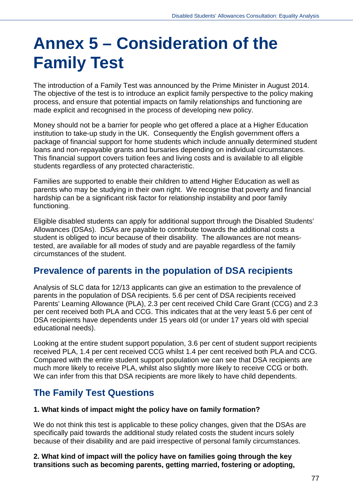# **Annex 5 – Consideration of the Family Test**

The introduction of a Family Test was announced by the Prime Minister in August 2014. The objective of the test is to introduce an explicit family perspective to the policy making process, and ensure that potential impacts on family relationships and functioning are made explicit and recognised in the process of developing new policy.

Money should not be a barrier for people who get offered a place at a Higher Education institution to take-up study in the UK. Consequently the English government offers a package of financial support for home students which include annually determined student loans and non-repayable grants and bursaries depending on individual circumstances. This financial support covers tuition fees and living costs and is available to all eligible students regardless of any protected characteristic.

Families are supported to enable their children to attend Higher Education as well as parents who may be studying in their own right. We recognise that poverty and financial hardship can be a significant risk factor for relationship instability and poor family functioning.

Eligible disabled students can apply for additional support through the Disabled Students' Allowances (DSAs). DSAs are payable to contribute towards the additional costs a student is obliged to incur because of their disability. The allowances are not meanstested, are available for all modes of study and are payable regardless of the family circumstances of the student.

## **Prevalence of parents in the population of DSA recipients**

Analysis of SLC data for 12/13 applicants can give an estimation to the prevalence of parents in the population of DSA recipients. 5.6 per cent of DSA recipients received Parents' Learning Allowance (PLA), 2.3 per cent received Child Care Grant (CCG) and 2.3 per cent received both PLA and CCG. This indicates that at the very least 5.6 per cent of DSA recipients have dependents under 15 years old (or under 17 years old with special educational needs).

Looking at the entire student support population, 3.6 per cent of student support recipients received PLA, 1.4 per cent received CCG whilst 1.4 per cent received both PLA and CCG. Compared with the entire student support population we can see that DSA recipients are much more likely to receive PLA, whilst also slightly more likely to receive CCG or both. We can infer from this that DSA recipients are more likely to have child dependents.

# **The Family Test Questions**

### **1. What kinds of impact might the policy have on family formation?**

We do not think this test is applicable to these policy changes, given that the DSAs are specifically paid towards the additional study related costs the student incurs solely because of their disability and are paid irrespective of personal family circumstances.

**2. What kind of impact will the policy have on families going through the key transitions such as becoming parents, getting married, fostering or adopting,**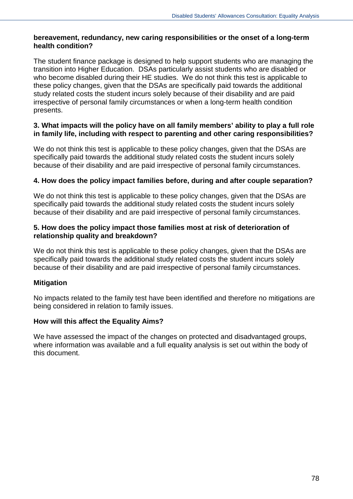## **bereavement, redundancy, new caring responsibilities or the onset of a long-term health condition?**

The student finance package is designed to help support students who are managing the transition into Higher Education. DSAs particularly assist students who are disabled or who become disabled during their HE studies. We do not think this test is applicable to these policy changes, given that the DSAs are specifically paid towards the additional study related costs the student incurs solely because of their disability and are paid irrespective of personal family circumstances or when a long-term health condition presents.

## **3. What impacts will the policy have on all family members' ability to play a full role in family life, including with respect to parenting and other caring responsibilities?**

We do not think this test is applicable to these policy changes, given that the DSAs are specifically paid towards the additional study related costs the student incurs solely because of their disability and are paid irrespective of personal family circumstances.

## **4. How does the policy impact families before, during and after couple separation?**

We do not think this test is applicable to these policy changes, given that the DSAs are specifically paid towards the additional study related costs the student incurs solely because of their disability and are paid irrespective of personal family circumstances.

#### **5. How does the policy impact those families most at risk of deterioration of relationship quality and breakdown?**

We do not think this test is applicable to these policy changes, given that the DSAs are specifically paid towards the additional study related costs the student incurs solely because of their disability and are paid irrespective of personal family circumstances.

### **Mitigation**

No impacts related to the family test have been identified and therefore no mitigations are being considered in relation to family issues.

### **How will this affect the Equality Aims?**

We have assessed the impact of the changes on protected and disadvantaged groups, where information was available and a full equality analysis is set out within the body of this document.